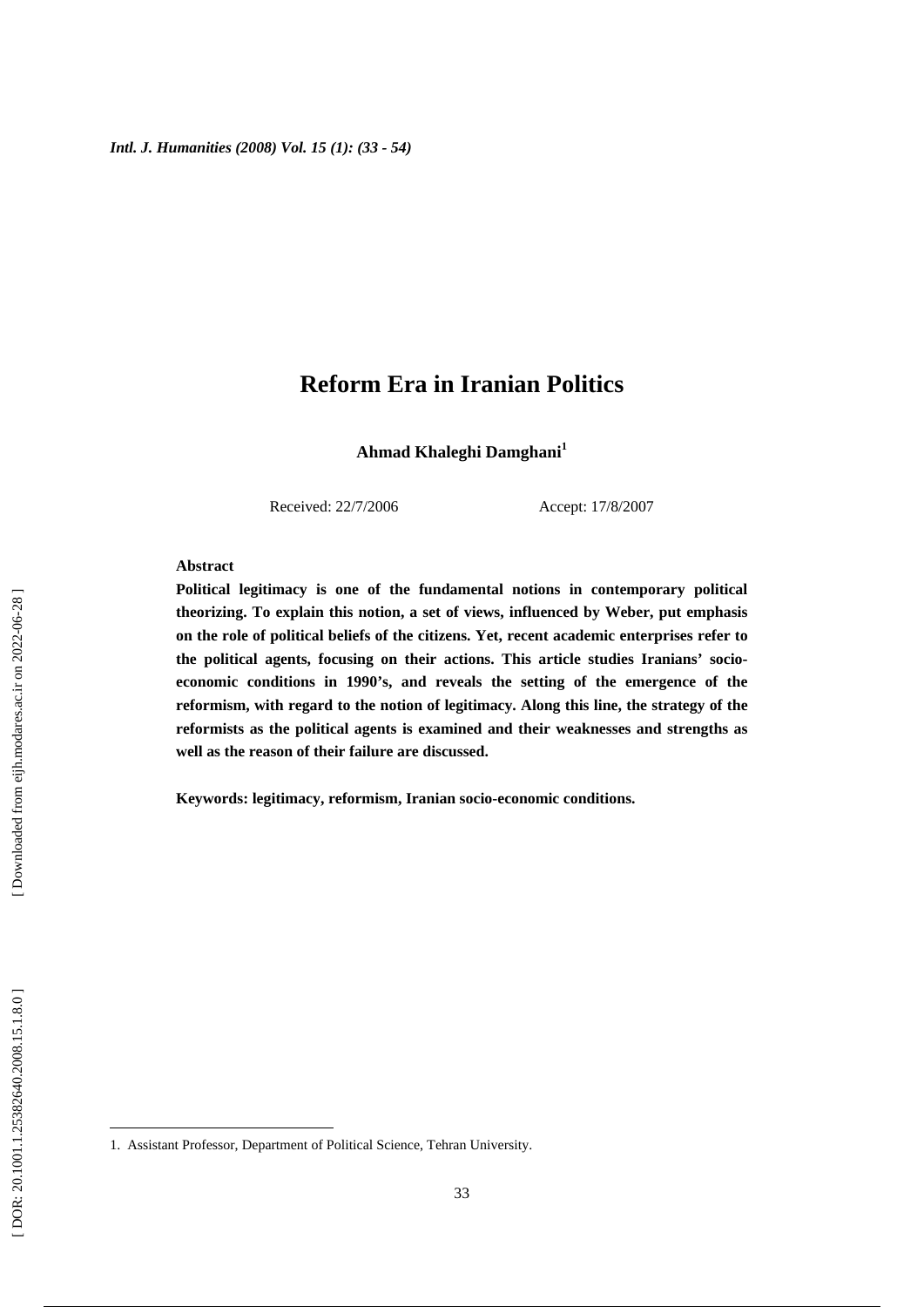**Ahmad Khaleghi Damghani 1**

Received: 22/7/2006 Accept: 17/8/2007

#### **Abstract**

**Political legitimacy is one of the fundamental notions in contemporary political theorizing. To explain this notion, a set of views, influenced by Weber, put emphasis on the role of political beliefs of the citizens. Yet, recent academic enterprises refer to the political agents, focusing on their actions. This article studies Iranians' socioeconomic conditions in 1990's, and reveals the setting of the emergence of the reformism, with regard to the notion of legitimacy. Along this line, the strategy of the reformists as the political agents is examined and their weaknesses and strengths as well as the reason of their failure are discussed.** 

**Keywords: legitimacy, reformism, Iranian socio-economic conditions.** 

1

1. Assistant Professor, Department of Political Science, Tehran University.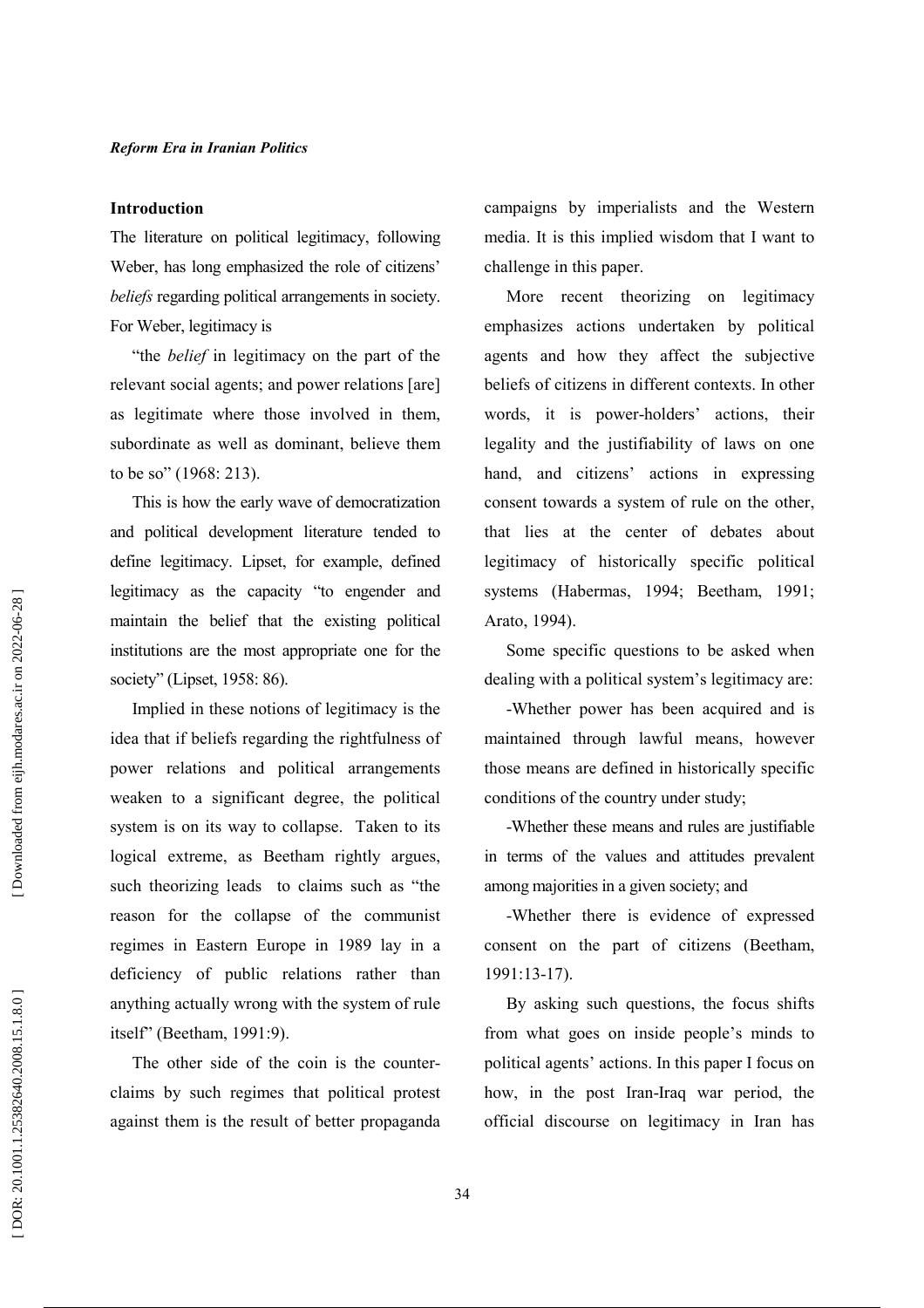#### **Introduction**

The literature on political legitimacy, following Weber, has long emphasized the role of citizens' beliefs regarding political arrangements in society. For Weber, legitimacy is

"the *belief* in legitimacy on the part of the relevant social agents; and power relations [are] as legitimate where those involved in them, subordinate as well as dominant, believe them to be so" (1968: 213).

This is how the early wave of democratization and political development literature tended to define legitimacy. Lipset, for example, defined legitimacy as the capacity "to engender and maintain the belief that the existing political institutions are the most appropriate one for the society" (Lipset, 1958: 86).

Implied in these notions of legitimacy is the idea that if beliefs regarding the rightfulness of power relations and political arrangements weaken to a significant degree, the political system is on its way to collapse. Taken to its logical extreme, as Beetham rightly argues, such theorizing leads to claims such as "the reason for the collapse of the communist regimes in Eastern Europe in 1989 lay in a deficiency of public relations rather than anything actually wrong with the system of rule itself" (Beetham, 1991:9).

The other side of the coin is the counterclaims by such regimes that political protest against them is the result of better propaganda campaigns by imperialists and the Western media. It is this implied wisdom that I want to challenge in this paper.

More recent theorizing on legitimacy emphasizes actions undertaken by political agents and how they affect the subjective beliefs of citizens in different contexts. In other words, it is power-holders' actions, their legality and the justifiability of laws on one hand, and citizens' actions in expressing consent towards a system of rule on the other. that lies at the center of debates about legitimacy of historically specific political systems (Habermas, 1994; Beetham, 1991; Arato, 1994).

Some specific questions to be asked when dealing with a political system's legitimacy are:

-Whether power has been acquired and is maintained through lawful means, however those means are defined in historically specific conditions of the country under study;

-Whether these means and rules are justifiable in terms of the values and attitudes prevalent among majorities in a given society; and

-Whether there is evidence of expressed consent on the part of citizens (Beetham,  $1991:13-17$ ).

By asking such questions, the focus shifts from what goes on inside people's minds to political agents' actions. In this paper I focus on how, in the post Iran-Iraq war period, the official discourse on legitimacy in Iran has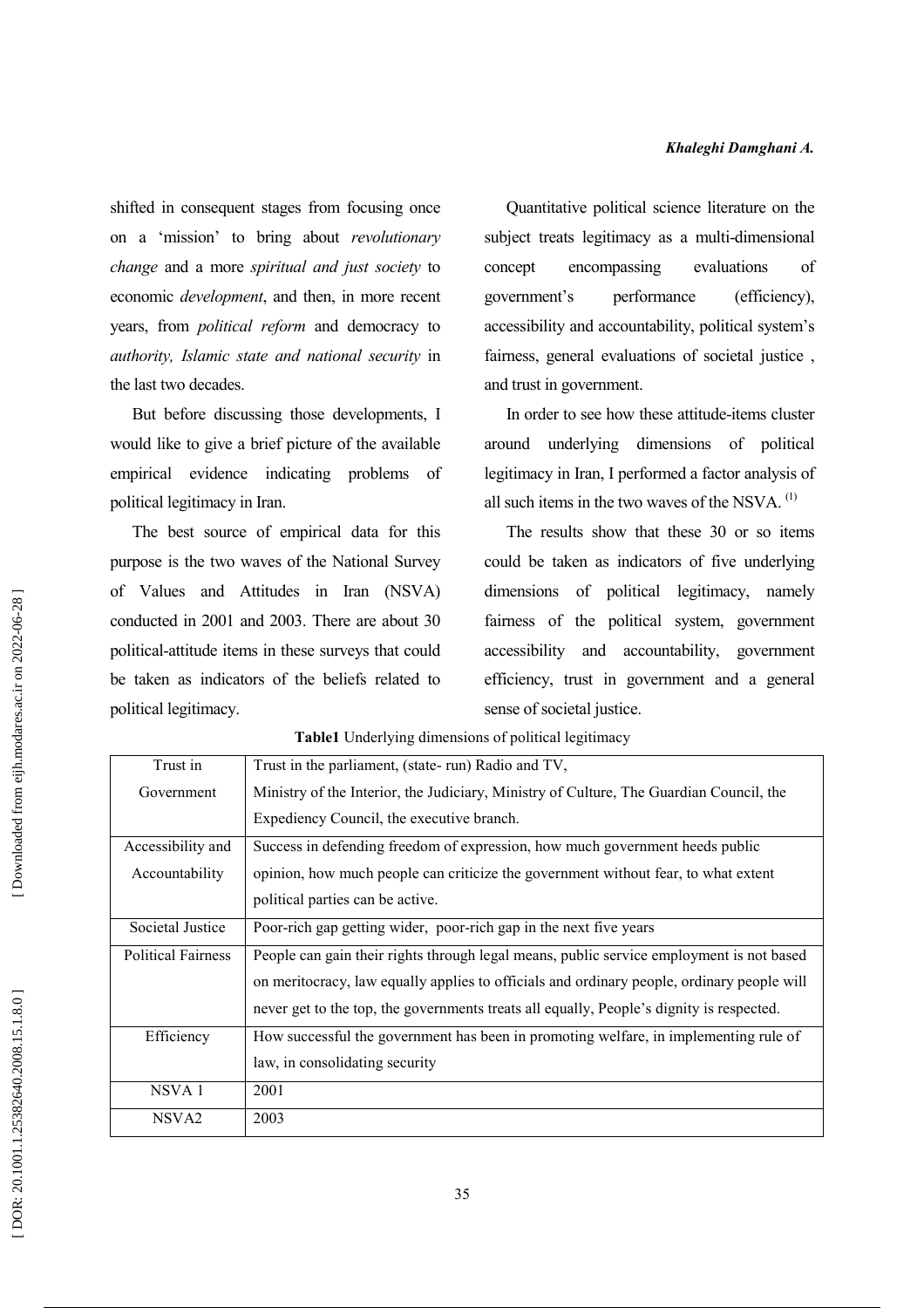shifted in consequent stages from focusing once on a 'mission' to bring about revolutionary change and a more spiritual and just society to economic *development*, and then, in more recent years, from *political reform* and democracy to authority, Islamic state and national security in the last two decades.

But before discussing those developments, I would like to give a brief picture of the available empirical evidence indicating problems - of political legitimacy in Iran.

The best source of empirical data for this purpose is the two waves of the National Survey of Values and Attitudes in Iran (NSVA) conducted in 2001 and 2003. There are about 30 political-attitude items in these surveys that could be taken as indicators of the beliefs related to political legitimacy.

Quantitative political science literature on the subject treats legitimacy as a multi-dimensional concept encompassing evaluations  $\alpha$ f government's performance (efficiency), accessibility and accountability, political system's fairness, general evaluations of societal justice, and trust in government.

In order to see how these attitude-items cluster around underlying dimensions of political legitimacy in Iran, I performed a factor analysis of all such items in the two waves of the NSVA.<sup>(1)</sup>

The results show that these 30 or so items could be taken as indicators of five underlying dimensions of political legitimacy, namely fairness of the political system, government accessibility and accountability, government efficiency, trust in government and a general sense of societal justice.

| Trust in                  | Trust in the parliament, (state-run) Radio and TV,                                         |
|---------------------------|--------------------------------------------------------------------------------------------|
| Government                | Ministry of the Interior, the Judiciary, Ministry of Culture, The Guardian Council, the    |
|                           | Expediency Council, the executive branch.                                                  |
| Accessibility and         | Success in defending freedom of expression, how much government heeds public               |
| Accountability            | opinion, how much people can criticize the government without fear, to what extent         |
|                           | political parties can be active.                                                           |
| Societal Justice          | Poor-rich gap getting wider, poor-rich gap in the next five years                          |
| <b>Political Fairness</b> | People can gain their rights through legal means, public service employment is not based   |
|                           | on meritocracy, law equally applies to officials and ordinary people, ordinary people will |
|                           | never get to the top, the governments treats all equally, People's dignity is respected.   |
| Efficiency                | How successful the government has been in promoting welfare, in implementing rule of       |
|                           | law, in consolidating security                                                             |
| NSVA <sub>1</sub>         | 2001                                                                                       |
| NSVA <sub>2</sub>         | 2003                                                                                       |

Table1 Underlying dimensions of political legitimacy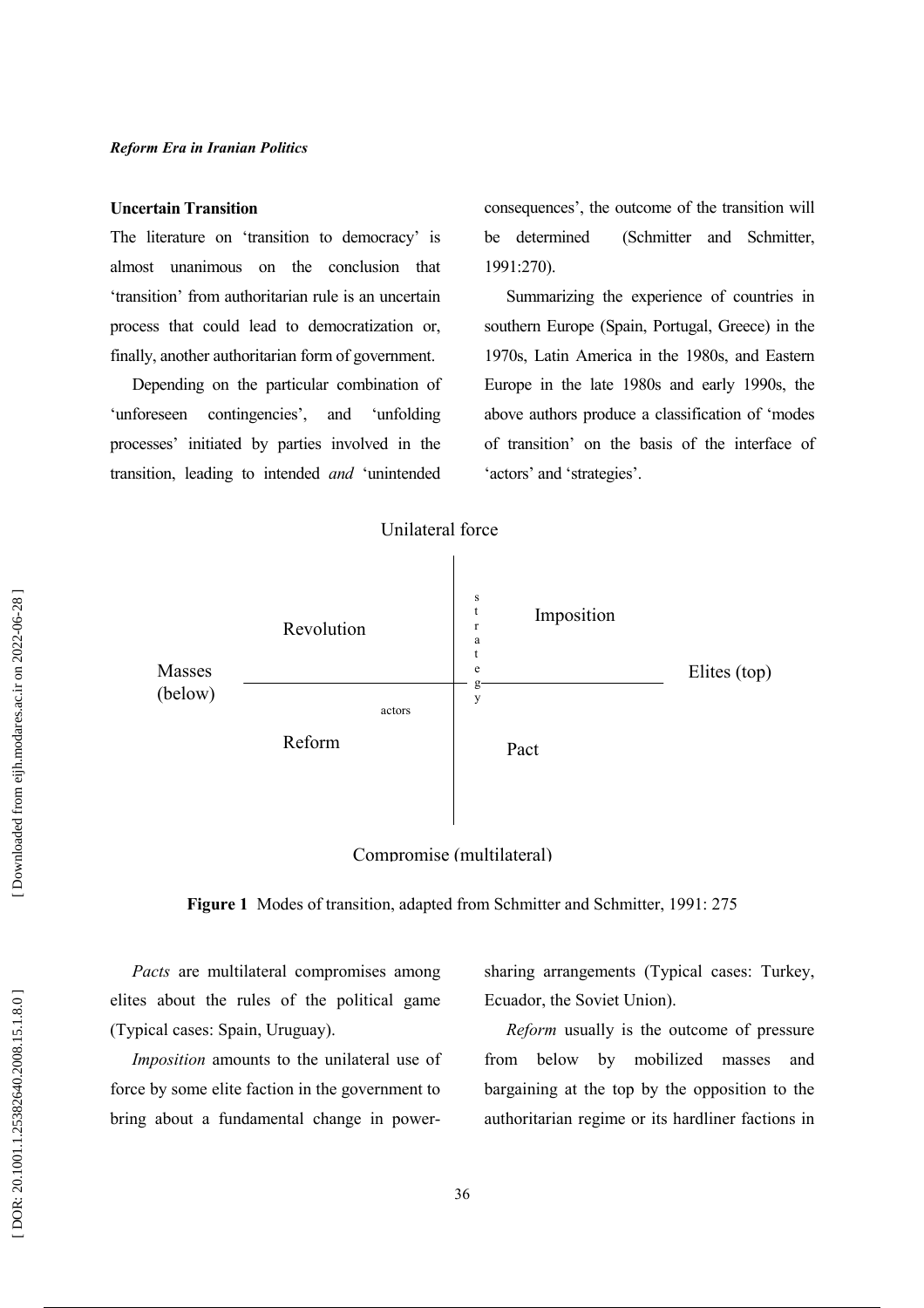#### **Uncertain Transition**

The literature on 'transition to democracy' is almost unanimous on the conclusion that 'transition' from authoritarian rule is an uncertain process that could lead to democratization or, finally, another authoritarian form of government.

Depending on the particular combination of 'unforeseen contingencies', and 'unfolding processes' initiated by parties involved in the transition, leading to intended and 'unintended

consequences', the outcome of the transition will be determined (Schmitter and Schmitter,  $1991:270$ ).

Summarizing the experience of countries in southern Europe (Spain, Portugal, Greece) in the 1970s, Latin America in the 1980s, and Eastern Europe in the late 1980s and early 1990s, the above authors produce a classification of 'modes of transition' on the basis of the interface of 'actors' and 'strategies'.



# Compromise (multilateral)

Figure 1 Modes of transition, adapted from Schmitter and Schmitter, 1991: 275

Pacts are multilateral compromises among elites about the rules of the political game (Typical cases: Spain, Uruguay).

Imposition amounts to the unilateral use of force by some elite faction in the government to bring about a fundamental change in powersharing arrangements (Typical cases: Turkey, Ecuador, the Soviet Union).

Reform usually is the outcome of pressure from below by mobilized masses and bargaining at the top by the opposition to the authoritarian regime or its hardliner factions in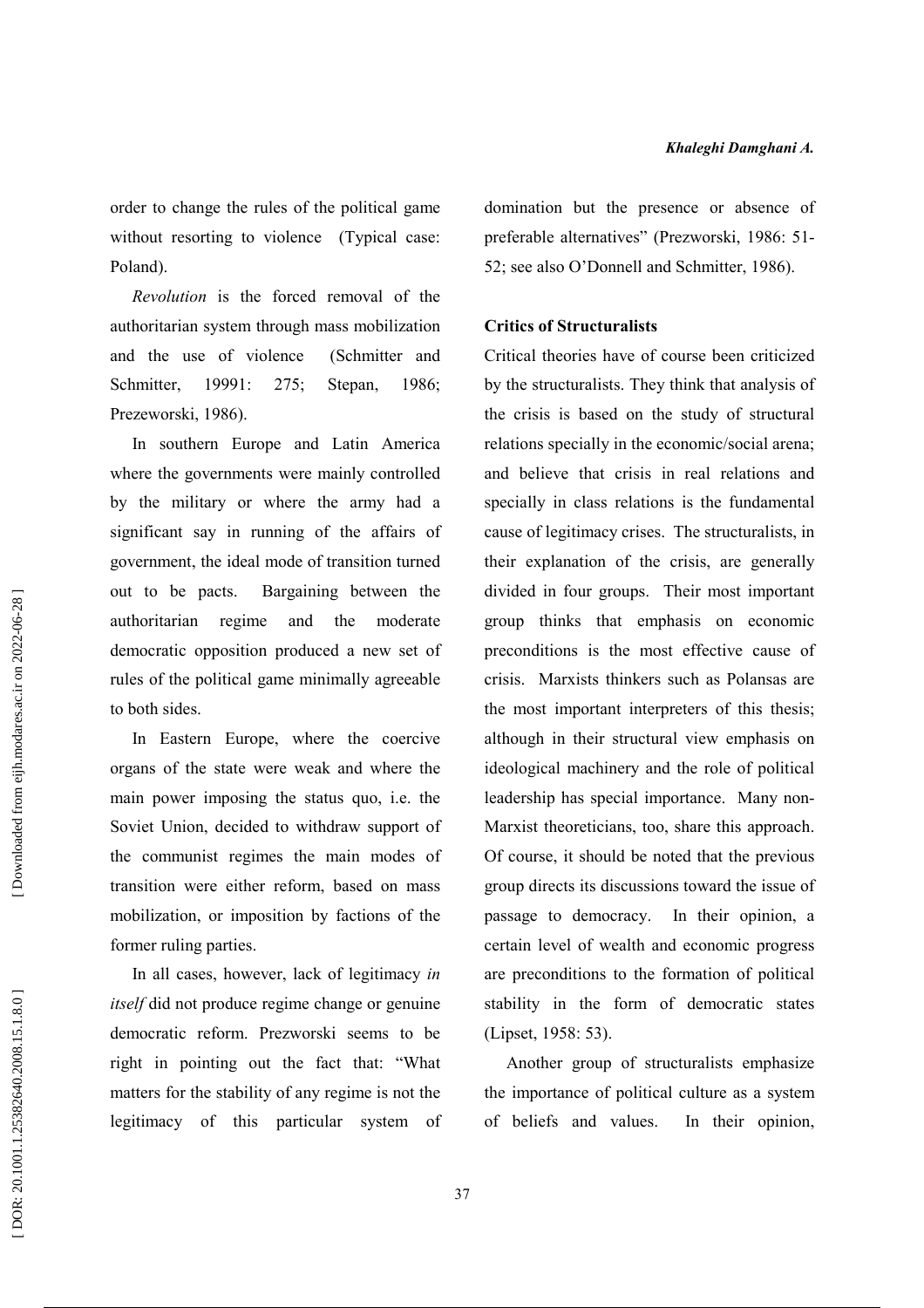order to change the rules of the political game without resorting to violence (Typical case: Poland).

Revolution is the forced removal of the authoritarian system through mass mobilization and the use of violence (Schmitter and Schmitter. 19991:  $275:$ Stepan, 1986: Prezeworski, 1986).

In southern Europe and Latin America where the governments were mainly controlled by the military or where the army had a significant say in running of the affairs of government, the ideal mode of transition turned out to be pacts. Bargaining between the authoritarian regime and the moderate democratic opposition produced a new set of rules of the political game minimally agreeable to both sides.

In Eastern Europe, where the coercive organs of the state were weak and where the main power imposing the status quo, i.e. the Soviet Union, decided to withdraw support of the communist regimes the main modes of transition were either reform, based on mass mobilization, or imposition by factions of the former ruling parties.

In all cases, however, lack of legitimacy in *itself* did not produce regime change or genuine democratic reform. Prezworski seems to be right in pointing out the fact that: "What matters for the stability of any regime is not the legitimacy of this particular system of domination but the presence or absence of preferable alternatives" (Prezworski, 1986: 51-52; see also O'Donnell and Schmitter, 1986).

#### **Critics of Structuralists**

Critical theories have of course been criticized by the structuralists. They think that analysis of the crisis is based on the study of structural relations specially in the economic/social arena: and believe that crisis in real relations and specially in class relations is the fundamental cause of legitimacy crises. The structuralists, in their explanation of the crisis, are generally divided in four groups. Their most important group thinks that emphasis on economic preconditions is the most effective cause of crisis. Marxists thinkers such as Polansas are the most important interpreters of this thesis; although in their structural view emphasis on ideological machinery and the role of political leadership has special importance. Many non-Marxist theoreticians, too, share this approach. Of course, it should be noted that the previous group directs its discussions toward the issue of passage to democracy. In their opinion, a certain level of wealth and economic progress are preconditions to the formation of political stability in the form of democratic states (Lipset, 1958: 53).

Another group of structuralists emphasize the importance of political culture as a system of beliefs and values. In their opinion,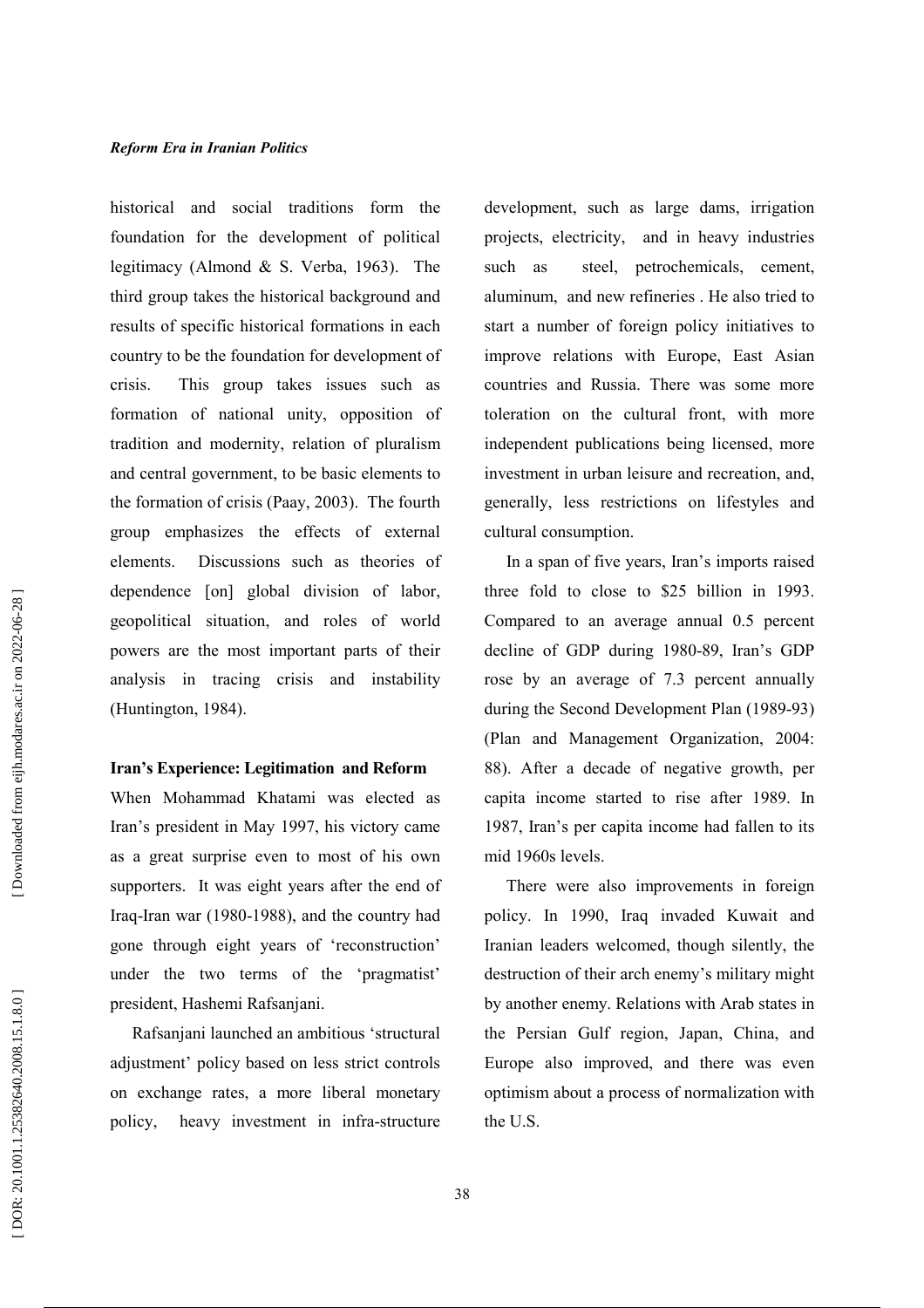historical and social traditions form the foundation for the development of political legitimacy (Almond & S. Verba, 1963). The third group takes the historical background and results of specific historical formations in each country to be the foundation for development of crisis. This group takes issues such as formation of national unity, opposition of tradition and modernity, relation of pluralism and central government, to be basic elements to the formation of crisis (Paay, 2003). The fourth group emphasizes the effects of external Discussions such as theories of elements. dependence [on] global division of labor, geopolitical situation, and roles of world powers are the most important parts of their analysis in tracing crisis and instability (Huntington, 1984).

# Iran's Experience: Legitimation and Reform

When Mohammad Khatami was elected as Iran's president in May 1997, his victory came as a great surprise even to most of his own supporters. It was eight years after the end of Iraq-Iran war (1980-1988), and the country had gone through eight years of 'reconstruction' under the two terms of the 'pragmatist' president, Hashemi Rafsanjani.

Rafsanjani launched an ambitious 'structural adjustment' policy based on less strict controls on exchange rates, a more liberal monetary policy, heavy investment in infra-structure development, such as large dams, irrigation projects, electricity, and in heavy industries such as steel, petrochemicals, cement, aluminum, and new refineries. He also tried to start a number of foreign policy initiatives to improve relations with Europe, East Asian countries and Russia. There was some more toleration on the cultural front, with more independent publications being licensed, more investment in urban leisure and recreation, and, generally, less restrictions on lifestyles and cultural consumption.

In a span of five years, Iran's imports raised three fold to close to \$25 billion in 1993. Compared to an average annual 0.5 percent decline of GDP during 1980-89, Iran's GDP rose by an average of 7.3 percent annually during the Second Development Plan (1989-93) (Plan and Management Organization, 2004: 88). After a decade of negative growth, per capita income started to rise after 1989. In 1987, Iran's per capita income had fallen to its mid 1960s levels.

There were also improvements in foreign policy. In 1990, Iraq invaded Kuwait and Iranian leaders welcomed, though silently, the destruction of their arch enemy's military might by another enemy. Relations with Arab states in the Persian Gulf region, Japan, China, and Europe also improved, and there was even optimism about a process of normalization with the U.S.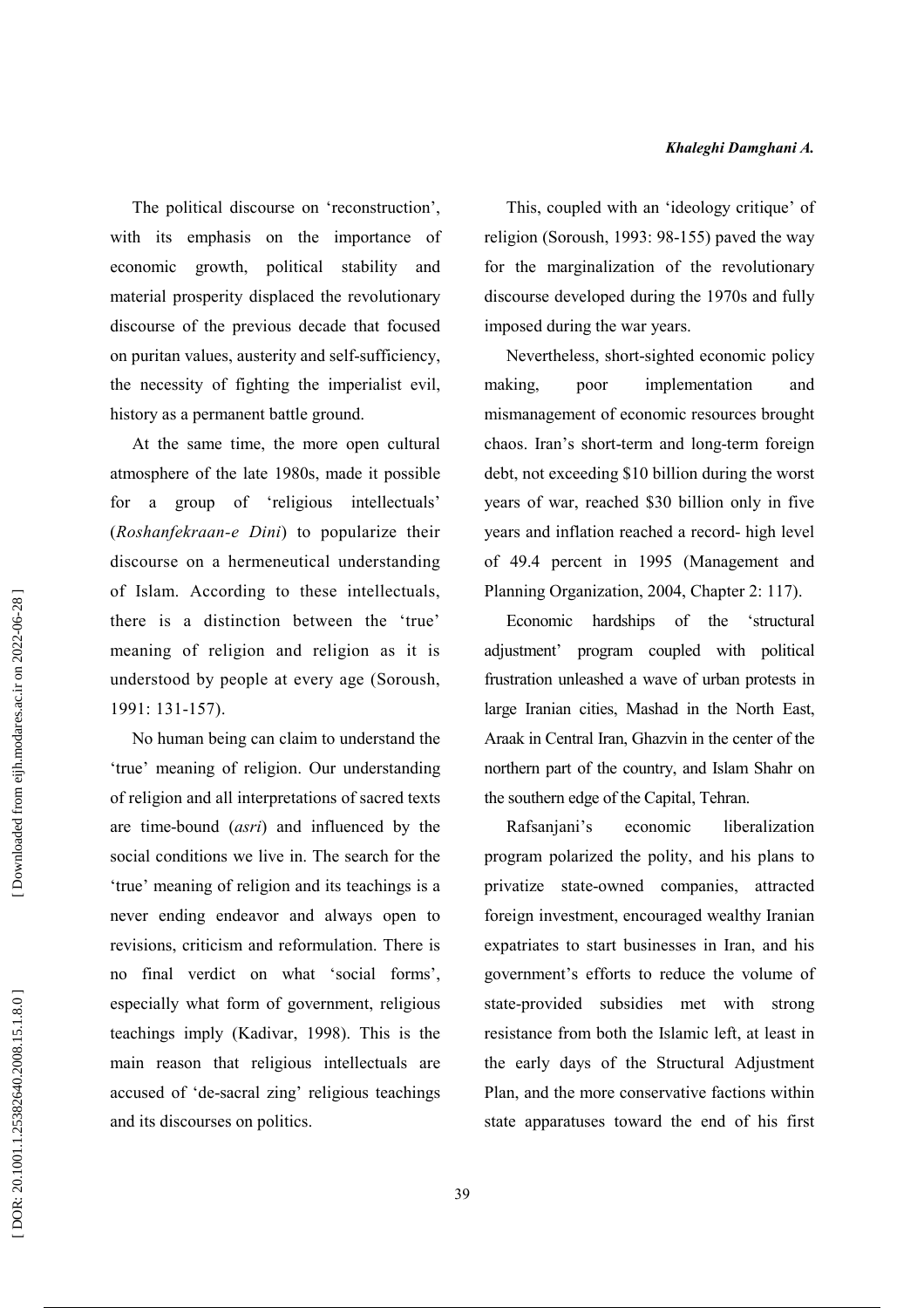The political discourse on 'reconstruction', with its emphasis on the importance of economic growth, political stability and material prosperity displaced the revolutionary discourse of the previous decade that focused on puritan values, austerity and self-sufficiency, the necessity of fighting the imperialist evil, history as a permanent battle ground.

At the same time, the more open cultural atmosphere of the late 1980s, made it possible a group of 'religious intellectuals' for (Roshanfekraan-e Dini) to popularize their discourse on a hermeneutical understanding of Islam. According to these intellectuals, there is a distinction between the 'true' meaning of religion and religion as it is understood by people at every age (Soroush, 1991: 131-157).

No human being can claim to understand the 'true' meaning of religion. Our understanding of religion and all interpretations of sacred texts are time-bound *(asri)* and influenced by the social conditions we live in. The search for the 'true' meaning of religion and its teachings is a never ending endeavor and always open to revisions, criticism and reformulation. There is no final verdict on what 'social forms', especially what form of government, religious teachings imply (Kadivar, 1998). This is the main reason that religious intellectuals are accused of 'de-sacral zing' religious teachings and its discourses on politics.

This, coupled with an 'ideology critique' of religion (Soroush, 1993: 98-155) paved the way for the marginalization of the revolutionary discourse developed during the 1970s and fully imposed during the war years.

Nevertheless, short-sighted economic policy making. poor implementation and mismanagement of economic resources brought chaos. Iran's short-term and long-term foreign debt, not exceeding \$10 billion during the worst years of war, reached \$30 billion only in five years and inflation reached a record- high level of 49.4 percent in 1995 (Management and Planning Organization, 2004, Chapter 2: 117).

Economic hardships of the 'structural adjustment' program coupled with political frustration unleashed a wave of urban protests in large Iranian cities, Mashad in the North East, Araak in Central Iran, Ghazvin in the center of the northern part of the country, and Islam Shahr on the southern edge of the Capital, Tehran.

Rafsanjani's economic liberalization program polarized the polity, and his plans to privatize state-owned companies, attracted foreign investment, encouraged wealthy Iranian expatriates to start businesses in Iran, and his government's efforts to reduce the volume of state-provided subsidies met with strong resistance from both the Islamic left, at least in the early days of the Structural Adjustment Plan, and the more conservative factions within state apparatuses toward the end of his first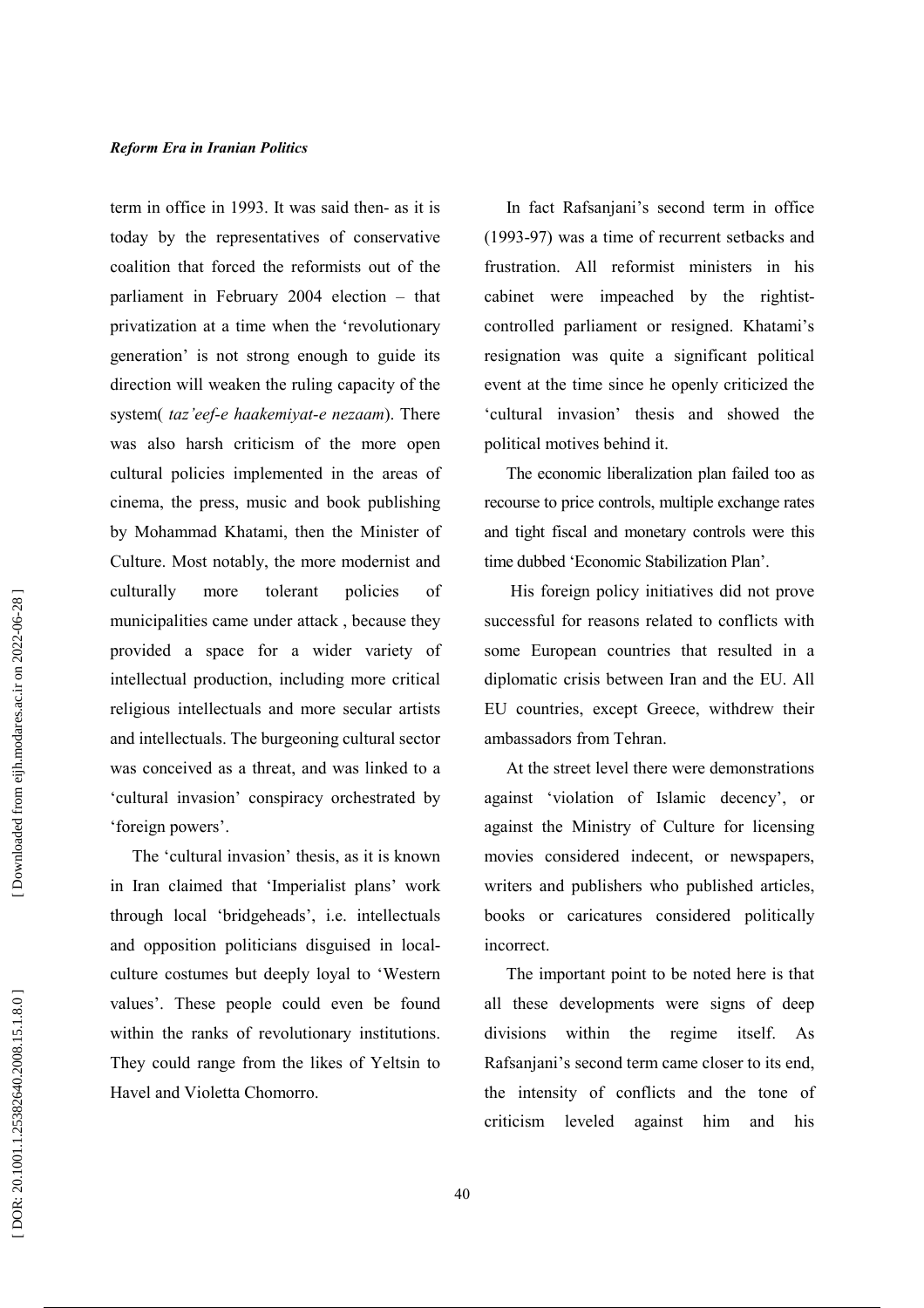term in office in 1993. It was said then- as it is today by the representatives of conservative coalition that forced the reformists out of the parliament in February 2004 election - that privatization at a time when the 'revolutionary generation' is not strong enough to guide its direction will weaken the ruling capacity of the system( taz'eef-e haakemiyat-e nezaam). There was also harsh criticism of the more open cultural policies implemented in the areas of cinema, the press, music and book publishing by Mohammad Khatami, then the Minister of Culture. Most notably, the more modernist and culturally more tolerant policies  $\alpha$ f municipalities came under attack, because they provided a space for a wider variety of intellectual production, including more critical religious intellectuals and more secular artists and intellectuals. The burgeoning cultural sector was conceived as a threat, and was linked to a 'cultural invasion' conspiracy orchestrated by 'foreign powers'.

The 'cultural invasion' thesis, as it is known in Iran claimed that 'Imperialist plans' work through local 'bridgeheads', i.e. intellectuals and opposition politicians disguised in localculture costumes but deeply loyal to 'Western values'. These people could even be found within the ranks of revolutionary institutions. They could range from the likes of Yeltsin to Havel and Violetta Chomorro.

In fact Rafsanjani's second term in office (1993-97) was a time of recurrent setbacks and frustration. All reformist ministers in his cabinet were impeached by the rightistcontrolled parliament or resigned. Khatami's resignation was quite a significant political event at the time since he openly criticized the 'cultural invasion' thesis and showed the political motives behind it.

The economic liberalization plan failed too as recourse to price controls, multiple exchange rates and tight fiscal and monetary controls were this time dubbed 'Economic Stabilization Plan'.

His foreign policy initiatives did not prove successful for reasons related to conflicts with some European countries that resulted in a diplomatic crisis between Iran and the EU. All EU countries, except Greece, withdrew their ambassadors from Tehran.

At the street level there were demonstrations against 'violation of Islamic decency', or against the Ministry of Culture for licensing movies considered indecent, or newspapers, writers and publishers who published articles, books or caricatures considered politically incorrect.

The important point to be noted here is that all these developments were signs of deep divisions within the regime itself.  $As$ Rafsaniani's second term came closer to its end. the intensity of conflicts and the tone of criticism leveled against him and his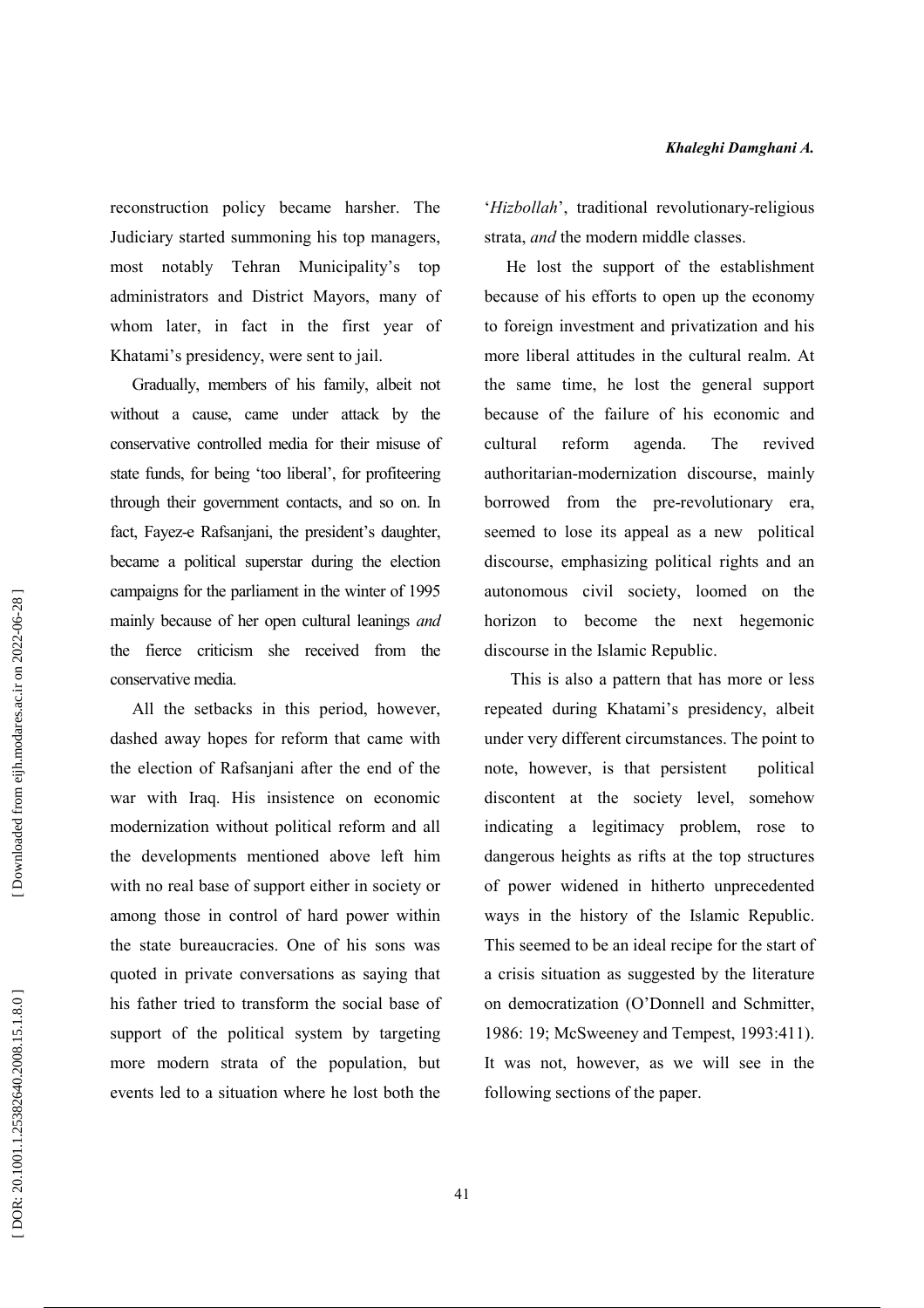reconstruction policy became harsher. The Judiciary started summoning his top managers, most notably Tehran Municipality's  $\sim$  top administrators and District Mayors, many of whom later, in fact in the first year of Khatami's presidency, were sent to jail.

Gradually, members of his family, albeit not without a cause, came under attack by the conservative controlled media for their misuse of state funds, for being 'too liberal', for profiteering through their government contacts, and so on. In fact, Fayez-e Rafsanjani, the president's daughter, became a political superstar during the election campaigns for the parliament in the winter of 1995 mainly because of her open cultural leanings and the fierce criticism she received from the conservative media

All the setbacks in this period, however, dashed away hopes for reform that came with the election of Rafsanjani after the end of the war with Iraq. His insistence on economic modernization without political reform and all the developments mentioned above left him with no real base of support either in society or among those in control of hard power within the state bureaucracies. One of his sons was quoted in private conversations as saying that his father tried to transform the social base of support of the political system by targeting more modern strata of the population, but events led to a situation where he lost both the 'Hizbollah', traditional revolutionary-religious strata, *and* the modern middle classes.

He lost the support of the establishment because of his efforts to open up the economy to foreign investment and privatization and his more liberal attitudes in the cultural realm. At the same time, he lost the general support because of the failure of his economic and reform The revived cultural agenda. authoritarian-modernization discourse, mainly borrowed from the pre-revolutionary era, seemed to lose its appeal as a new political discourse, emphasizing political rights and an autonomous civil society, loomed on the horizon to become the next hegemonic discourse in the Islamic Republic.

This is also a pattern that has more or less repeated during Khatami's presidency, albeit under very different circumstances. The point to note, however, is that persistent political discontent at the society level, somehow indicating a legitimacy problem, rose to dangerous heights as rifts at the top structures of power widened in hitherto unprecedented ways in the history of the Islamic Republic. This seemed to be an ideal recipe for the start of a crisis situation as suggested by the literature on democratization (O'Donnell and Schmitter, 1986: 19; McSweeney and Tempest, 1993:411). It was not, however, as we will see in the following sections of the paper.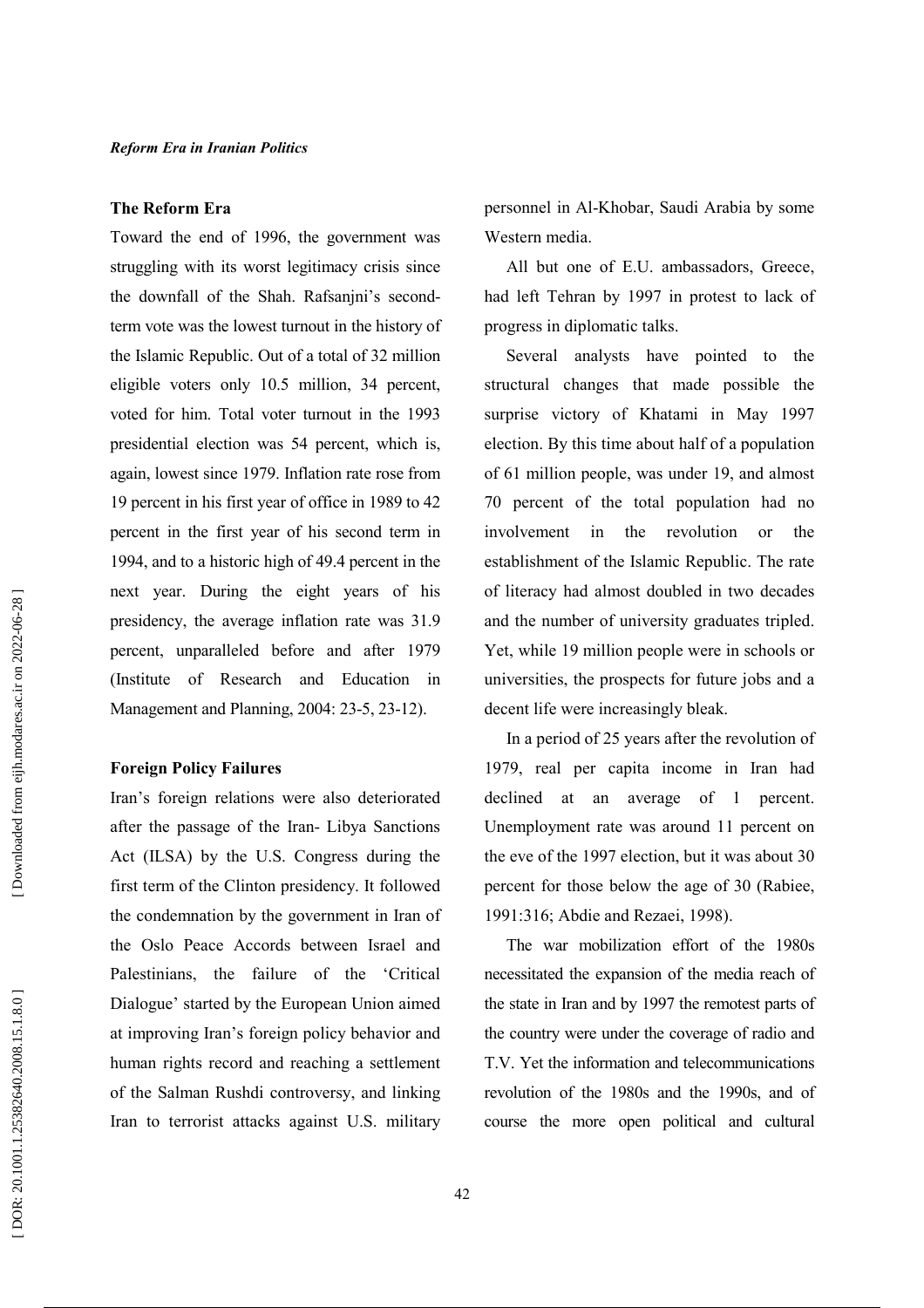#### The Reform Era

Toward the end of 1996, the government was struggling with its worst legitimacy crisis since the downfall of the Shah. Rafsanjni's secondterm vote was the lowest turnout in the history of the Islamic Republic. Out of a total of 32 million eligible voters only 10.5 million, 34 percent, voted for him. Total voter turnout in the 1993 presidential election was 54 percent, which is, again, lowest since 1979. Inflation rate rose from 19 percent in his first year of office in 1989 to 42 percent in the first year of his second term in 1994, and to a historic high of 49.4 percent in the next year. During the eight years of his presidency, the average inflation rate was 31.9 percent, unparalleled before and after 1979 (Institute of Research and Education in Management and Planning, 2004: 23-5, 23-12).

## **Foreign Policy Failures**

Iran's foreign relations were also deteriorated after the passage of the Iran- Libya Sanctions Act (ILSA) by the U.S. Congress during the first term of the Clinton presidency. It followed the condemnation by the government in Iran of the Oslo Peace Accords between Israel and Palestinians, the failure of the 'Critical Dialogue' started by the European Union aimed at improving Iran's foreign policy behavior and human rights record and reaching a settlement of the Salman Rushdi controversy, and linking Iran to terrorist attacks against U.S. military

personnel in Al-Khobar, Saudi Arabia by some Western media.

All but one of E.U. ambassadors, Greece, had left Tehran by 1997 in protest to lack of progress in diplomatic talks.

Several analysts have pointed to the structural changes that made possible the surprise victory of Khatami in May 1997 election. By this time about half of a population of 61 million people, was under 19, and almost 70 percent of the total population had no involvement in the revolution  $\alpha$ the establishment of the Islamic Republic. The rate of literacy had almost doubled in two decades and the number of university graduates tripled. Yet, while 19 million people were in schools or universities, the prospects for future jobs and a decent life were increasingly bleak.

In a period of 25 years after the revolution of 1979, real per capita income in Iran had declined at an average of 1 percent. Unemployment rate was around 11 percent on the eve of the 1997 election, but it was about 30 percent for those below the age of 30 (Rabiee, 1991:316; Abdie and Rezaei, 1998).

The war mobilization effort of the 1980s necessitated the expansion of the media reach of the state in Iran and by 1997 the remotest parts of the country were under the coverage of radio and T.V. Yet the information and telecommunications revolution of the 1980s and the 1990s, and of course the more open political and cultural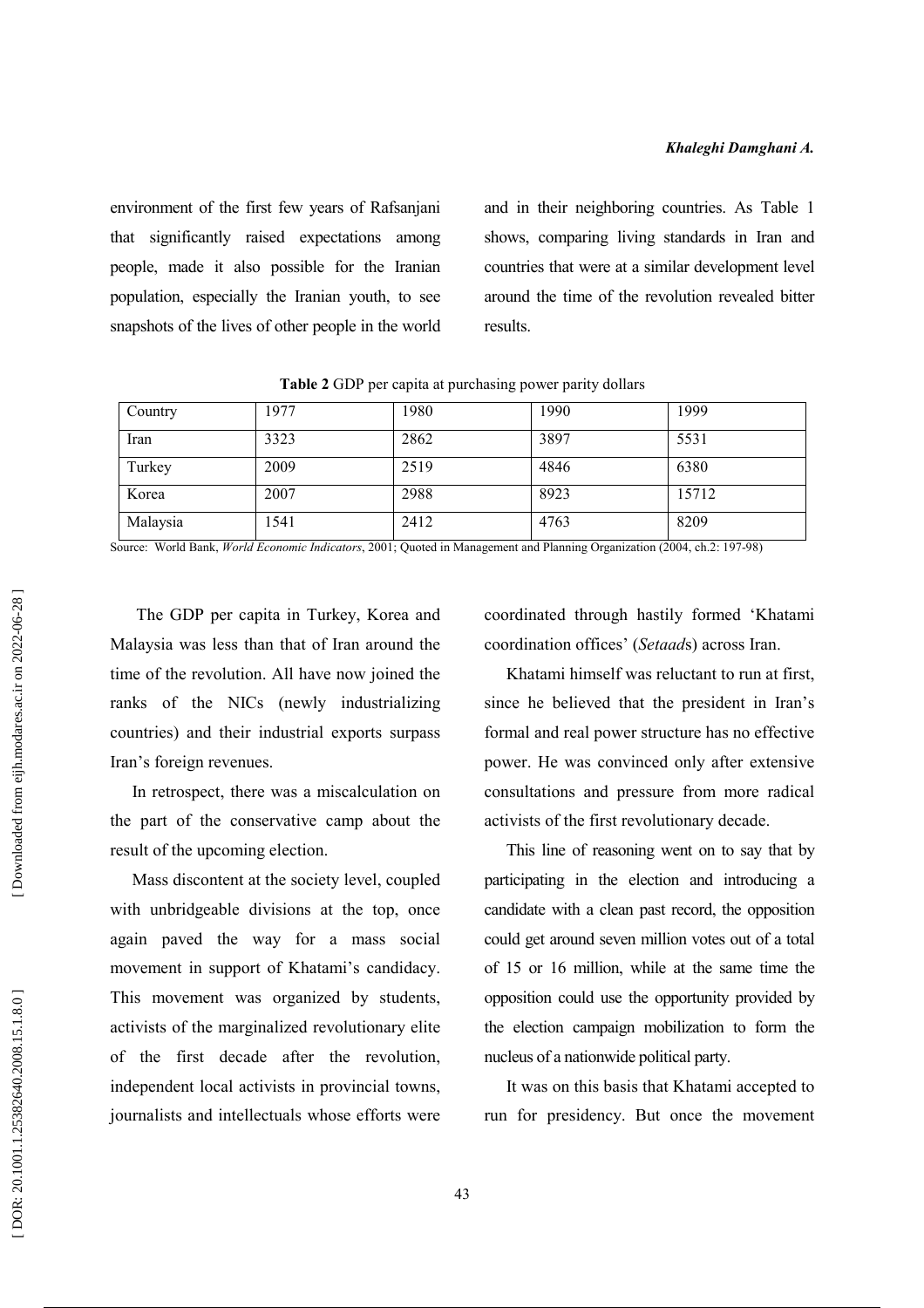environment of the first few years of Rafsanjani that significantly raised expectations among people, made it also possible for the Iranian population, especially the Iranian youth, to see snapshots of the lives of other people in the world and in their neighboring countries. As Table 1 shows, comparing living standards in Iran and countries that were at a similar development level around the time of the revolution revealed bitter results.

| Country  | 1977 | 1980 | 1990 | 1999  |
|----------|------|------|------|-------|
| Iran     | 3323 | 2862 | 3897 | 5531  |
| Turkey   | 2009 | 2519 | 4846 | 6380  |
| Korea    | 2007 | 2988 | 8923 | 15712 |
| Malaysia | 1541 | 2412 | 4763 | 8209  |

Table 2 GDP per capita at purchasing power parity dollars

Source: World Bank, World Economic Indicators, 2001; Quoted in Management and Planning Organization (2004, ch.2: 197-98)

The GDP per capita in Turkey, Korea and Malaysia was less than that of Iran around the time of the revolution. All have now joined the ranks of the NICs (newly industrializing countries) and their industrial exports surpass Iran's foreign revenues.

In retrospect, there was a miscalculation on the part of the conservative camp about the result of the upcoming election.

Mass discontent at the society level, coupled with unbridgeable divisions at the top, once again paved the way for a mass social movement in support of Khatami's candidacy. This movement was organized by students, activists of the marginalized revolutionary elite of the first decade after the revolution, independent local activists in provincial towns, journalists and intellectuals whose efforts were coordinated through hastily formed 'Khatami coordination offices' (Setaads) across Iran.

Khatami himself was reluctant to run at first. since he believed that the president in Iran's formal and real power structure has no effective power. He was convinced only after extensive consultations and pressure from more radical activists of the first revolutionary decade.

This line of reasoning went on to say that by participating in the election and introducing a candidate with a clean past record, the opposition could get around seven million votes out of a total of 15 or 16 million, while at the same time the opposition could use the opportunity provided by the election campaign mobilization to form the nucleus of a nationwide political party.

It was on this basis that Khatami accepted to run for presidency. But once the movement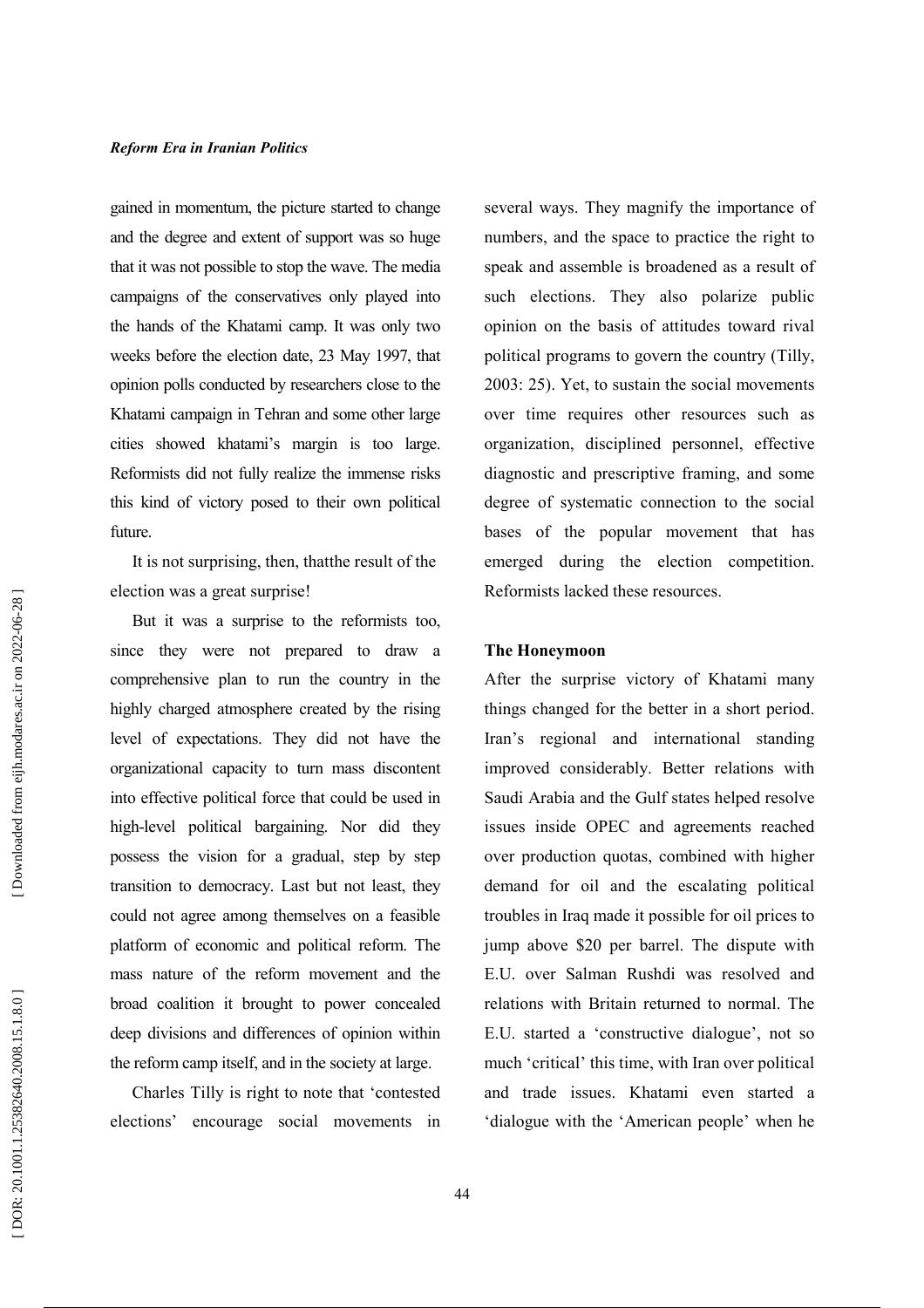gained in momentum, the picture started to change and the degree and extent of support was so huge that it was not possible to stop the wave. The media campaigns of the conservatives only played into the hands of the Khatami camp. It was only two weeks before the election date, 23 May 1997, that opinion polls conducted by researchers close to the Khatami campaign in Tehran and some other large cities showed khatami's margin is too large. Reformists did not fully realize the immense risks this kind of victory posed to their own political future.

It is not surprising, then, that the result of the election was a great surprise!

But it was a surprise to the reformists too. since they were not prepared to draw a comprehensive plan to run the country in the highly charged atmosphere created by the rising level of expectations. They did not have the organizational capacity to turn mass discontent into effective political force that could be used in high-level political bargaining. Nor did they possess the vision for a gradual, step by step transition to democracy. Last but not least, they could not agree among themselves on a feasible platform of economic and political reform. The mass nature of the reform movement and the broad coalition it brought to power concealed deep divisions and differences of opinion within the reform camp itself, and in the society at large.

Charles Tilly is right to note that 'contested elections' encourage social movements in several ways. They magnify the importance of numbers, and the space to practice the right to speak and assemble is broadened as a result of such elections. They also polarize public opinion on the basis of attitudes toward rival political programs to govern the country (Tilly, 2003: 25). Yet, to sustain the social movements over time requires other resources such as organization, disciplined personnel, effective diagnostic and prescriptive framing, and some degree of systematic connection to the social bases of the popular movement that has emerged during the election competition. Reformists lacked these resources

#### **The Honeymoon**

After the surprise victory of Khatami many things changed for the better in a short period. Iran's regional and international standing improved considerably. Better relations with Saudi Arabia and the Gulf states helped resolve issues inside OPEC and agreements reached over production quotas, combined with higher demand for oil and the escalating political troubles in Iraq made it possible for oil prices to jump above \$20 per barrel. The dispute with E.U. over Salman Rushdi was resolved and relations with Britain returned to normal. The E.U. started a 'constructive dialogue', not so much 'critical' this time, with Iran over political and trade issues. Khatami even started a 'dialogue with the 'American people' when he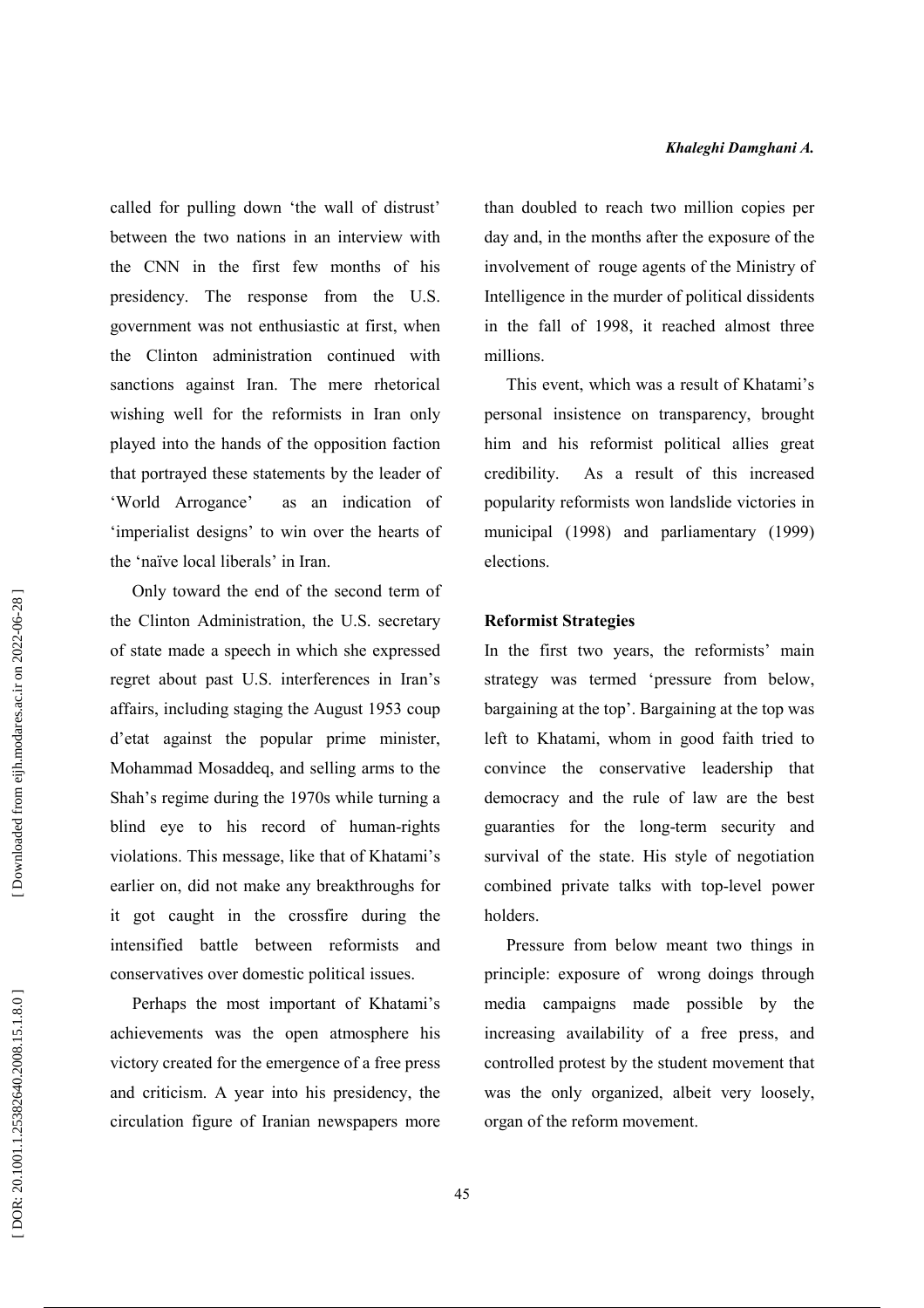called for pulling down 'the wall of distrust' between the two nations in an interview with the CNN in the first few months of his presidency. The response from the U.S. government was not enthusiastic at first, when the Clinton administration continued with sanctions against Iran. The mere rhetorical wishing well for the reformists in Iran only played into the hands of the opposition faction that portrayed these statements by the leader of 'World Arrogance' as an indication of 'imperialist designs' to win over the hearts of the 'naïve local liberals' in Iran.

Only toward the end of the second term of the Clinton Administration, the U.S. secretary of state made a speech in which she expressed regret about past U.S. interferences in Iran's affairs, including staging the August 1953 coup d'etat against the popular prime minister, Mohammad Mosaddeq, and selling arms to the Shah's regime during the 1970s while turning a blind eye to his record of human-rights violations. This message, like that of Khatami's earlier on, did not make any breakthroughs for it got caught in the crossfire during the intensified battle between reformists and conservatives over domestic political issues.

Perhaps the most important of Khatami's achievements was the open atmosphere his victory created for the emergence of a free press and criticism. A year into his presidency, the circulation figure of Iranian newspapers more than doubled to reach two million copies per day and, in the months after the exposure of the involvement of rouge agents of the Ministry of Intelligence in the murder of political dissidents in the fall of 1998, it reached almost three millions.

This event, which was a result of Khatami's personal insistence on transparency, brought him and his reformist political allies great As a result of this increased credibility. popularity reformists won landslide victories in municipal (1998) and parliamentary (1999) elections.

# **Reformist Strategies**

In the first two years, the reformists' main strategy was termed 'pressure from below, bargaining at the top'. Bargaining at the top was left to Khatami, whom in good faith tried to convince the conservative leadership that democracy and the rule of law are the best guaranties for the long-term security and survival of the state. His style of negotiation combined private talks with top-level power holders.

Pressure from below meant two things in principle: exposure of wrong doings through media campaigns made possible by the increasing availability of a free press, and controlled protest by the student movement that was the only organized, albeit very loosely, organ of the reform movement.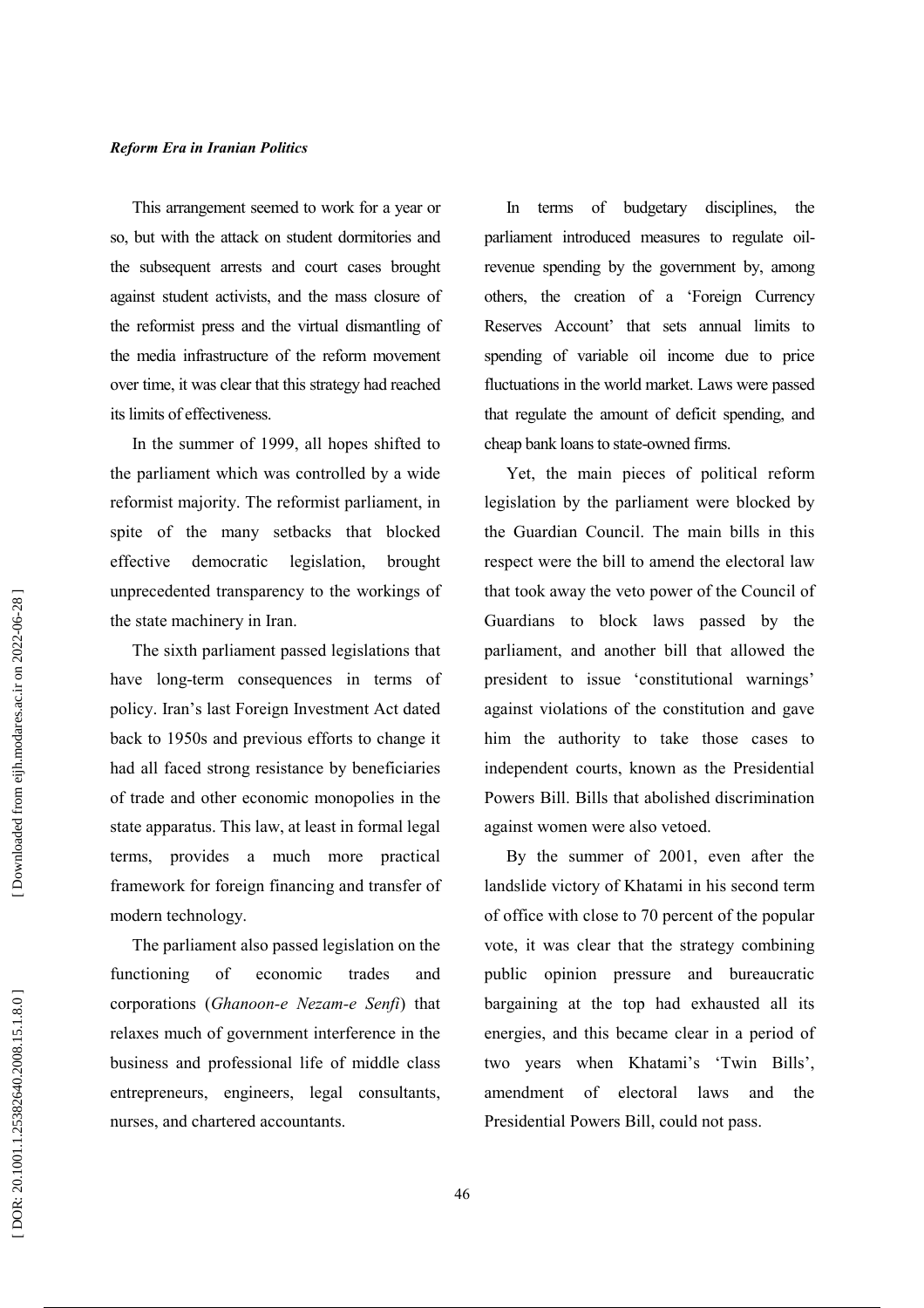This arrangement seemed to work for a year or so, but with the attack on student dormitories and the subsequent arrests and court cases brought against student activists, and the mass closure of the reformist press and the virtual dismantling of the media infrastructure of the reform movement over time, it was clear that this strategy had reached its limits of effectiveness.

In the summer of 1999, all hopes shifted to the parliament which was controlled by a wide reformist majority. The reformist parliament, in spite of the many setbacks that blocked democratic effective legislation, brought unprecedented transparency to the workings of the state machinery in Iran.

The sixth parliament passed legislations that have long-term consequences in terms of policy. Iran's last Foreign Investment Act dated back to 1950s and previous efforts to change it had all faced strong resistance by beneficiaries of trade and other economic monopolies in the state apparatus. This law, at least in formal legal terms, provides a much more practical framework for foreign financing and transfer of modern technology.

The parliament also passed legislation on the functioning  $\alpha$ f economic trades and corporations (Ghanoon-e Nezam-e Senfi) that relaxes much of government interference in the business and professional life of middle class entrepreneurs, engineers, legal consultants, nurses, and chartered accountants.

In terms of budgetary disciplines, the parliament introduced measures to regulate oilrevenue spending by the government by, among others, the creation of a 'Foreign Currency Reserves Account' that sets annual limits to spending of variable oil income due to price fluctuations in the world market. Laws were passed that regulate the amount of deficit spending, and cheap bank loans to state-owned firms.

Yet, the main pieces of political reform legislation by the parliament were blocked by the Guardian Council. The main bills in this respect were the bill to amend the electoral law that took away the veto power of the Council of Guardians to block laws passed by the parliament, and another bill that allowed the president to issue 'constitutional warnings' against violations of the constitution and gave him the authority to take those cases to independent courts, known as the Presidential Powers Bill. Bills that abolished discrimination against women were also vetoed.

By the summer of 2001, even after the landslide victory of Khatami in his second term of office with close to 70 percent of the popular vote, it was clear that the strategy combining public opinion pressure and bureaucratic bargaining at the top had exhausted all its energies, and this became clear in a period of two years when Khatami's 'Twin Bills'. amendment of electoral laws and the Presidential Powers Bill, could not pass.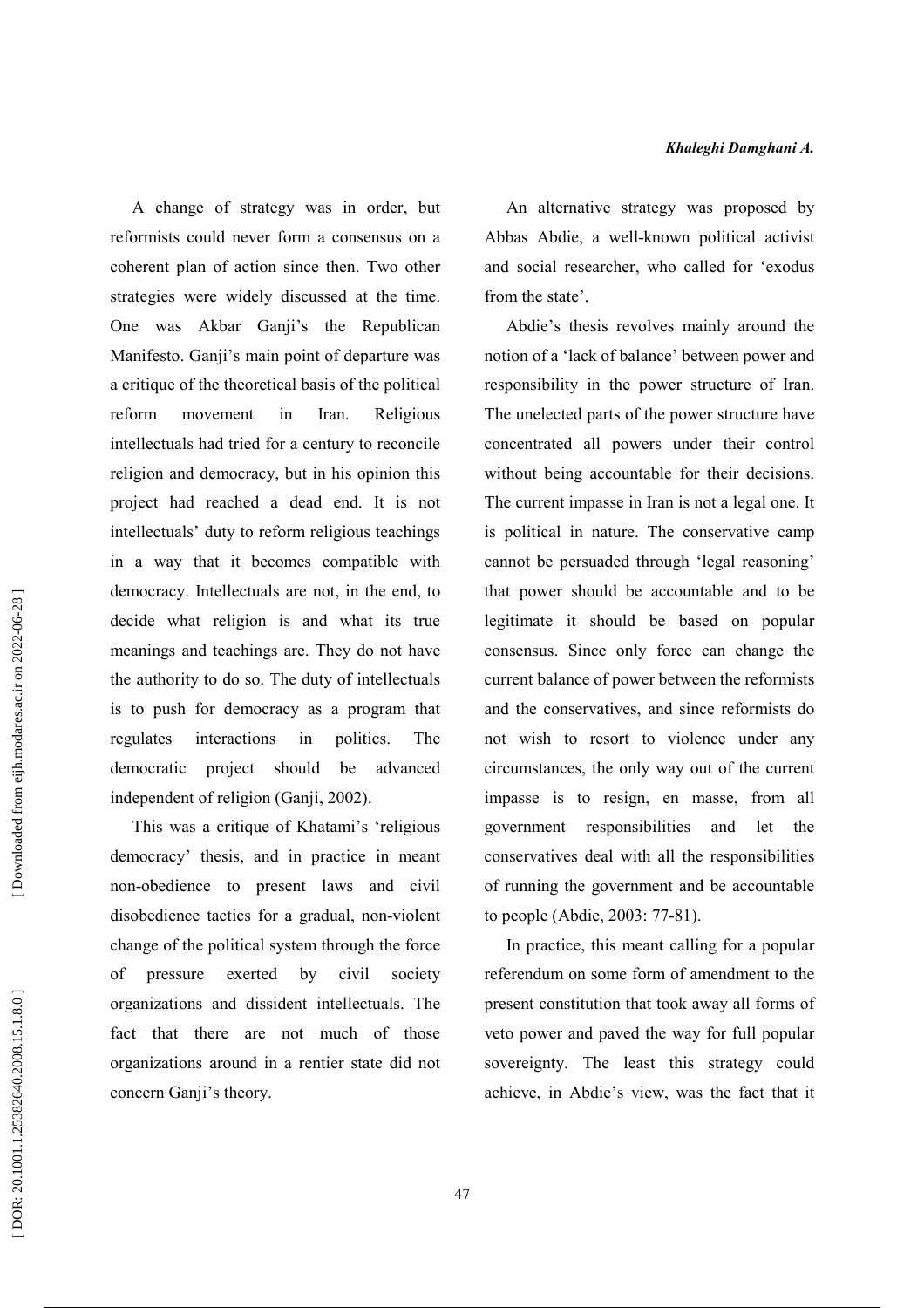A change of strategy was in order, but reformists could never form a consensus on a coherent plan of action since then. Two other strategies were widely discussed at the time. One was Akbar Ganji's the Republican Manifesto. Ganji's main point of departure was a critique of the theoretical basis of the political reform movement in Iran. Religious intellectuals had tried for a century to reconcile religion and democracy, but in his opinion this project had reached a dead end. It is not intellectuals' duty to reform religious teachings in a way that it becomes compatible with democracy. Intellectuals are not, in the end, to decide what religion is and what its true meanings and teachings are. They do not have the authority to do so. The duty of intellectuals is to push for democracy as a program that interactions in politics. regulates The advanced democratic project should be independent of religion (Ganji, 2002).

This was a critique of Khatami's 'religious democracy' thesis, and in practice in meant non-obedience to present laws and civil disobedience tactics for a gradual, non-violent change of the political system through the force of pressure exerted by civil society organizations and dissident intellectuals. The fact that there are not much of those organizations around in a rentier state did not concern Ganji's theory.

An alternative strategy was proposed by Abbas Abdie, a well-known political activist and social researcher, who called for 'exodus from the state'.

Abdie's thesis revolves mainly around the notion of a 'lack of balance' between power and responsibility in the power structure of Iran. The unelected parts of the power structure have concentrated all powers under their control without being accountable for their decisions. The current impasse in Iran is not a legal one. It is political in nature. The conservative camp cannot be persuaded through 'legal reasoning' that power should be accountable and to be legitimate it should be based on popular consensus. Since only force can change the current balance of power between the reformists and the conservatives, and since reformists do not wish to resort to violence under any circumstances, the only way out of the current impasse is to resign, en masse, from all government responsibilities and let the conservatives deal with all the responsibilities of running the government and be accountable to people (Abdie, 2003: 77-81).

In practice, this meant calling for a popular referendum on some form of amendment to the present constitution that took away all forms of veto power and paved the way for full popular sovereignty. The least this strategy could achieve, in Abdie's view, was the fact that it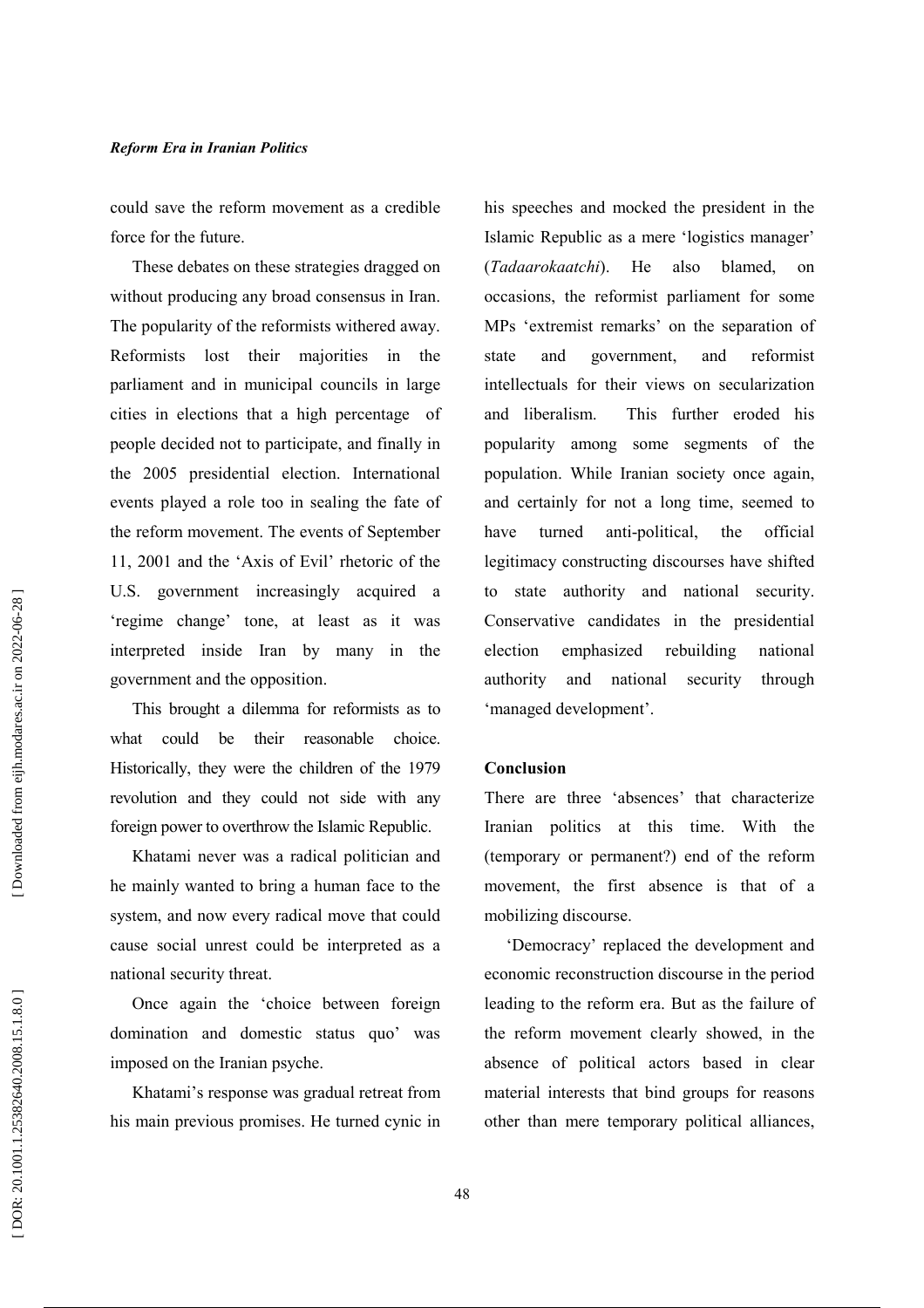could save the reform movement as a credible force for the future.

These debates on these strategies dragged on without producing any broad consensus in Iran. The popularity of the reformists withered away. Reformists lost their majorities in the parliament and in municipal councils in large cities in elections that a high percentage of people decided not to participate, and finally in the 2005 presidential election. International events played a role too in sealing the fate of the reform movement. The events of September 11, 2001 and the 'Axis of Evil' rhetoric of the U.S. government increasingly acquired a 'regime change' tone, at least as it was interpreted inside Iran by many in the government and the opposition.

This brought a dilemma for reformists as to what could be their reasonable choice. Historically, they were the children of the 1979 revolution and they could not side with any foreign power to overthrow the Islamic Republic.

Khatami never was a radical politician and he mainly wanted to bring a human face to the system, and now every radical move that could cause social unrest could be interpreted as a national security threat.

Once again the 'choice between foreign domination and domestic status quo' was imposed on the Iranian psyche.

Khatami's response was gradual retreat from his main previous promises. He turned cynic in his speeches and mocked the president in the Islamic Republic as a mere 'logistics manager' also (Tadaarokaatchi). He blamed.  $\alpha$ occasions, the reformist parliament for some MPs 'extremist remarks' on the separation of and reformist state and government, intellectuals for their views on secularization and liberalism. This further eroded his popularity among some segments of the population. While Iranian society once again, and certainly for not a long time, seemed to turned anti-political, the official have legitimacy constructing discourses have shifted state authority and national security.  $\mathbf{f}$ Conservative candidates in the presidential election emphasized rebuilding national and national authority security through 'managed development'.

#### Conclusion

There are three 'absences' that characterize Iranian politics at this time. With the (temporary or permanent?) end of the reform movement, the first absence is that of a mobilizing discourse.

'Democracy' replaced the development and economic reconstruction discourse in the period leading to the reform era. But as the failure of the reform movement clearly showed, in the absence of political actors based in clear material interests that bind groups for reasons other than mere temporary political alliances,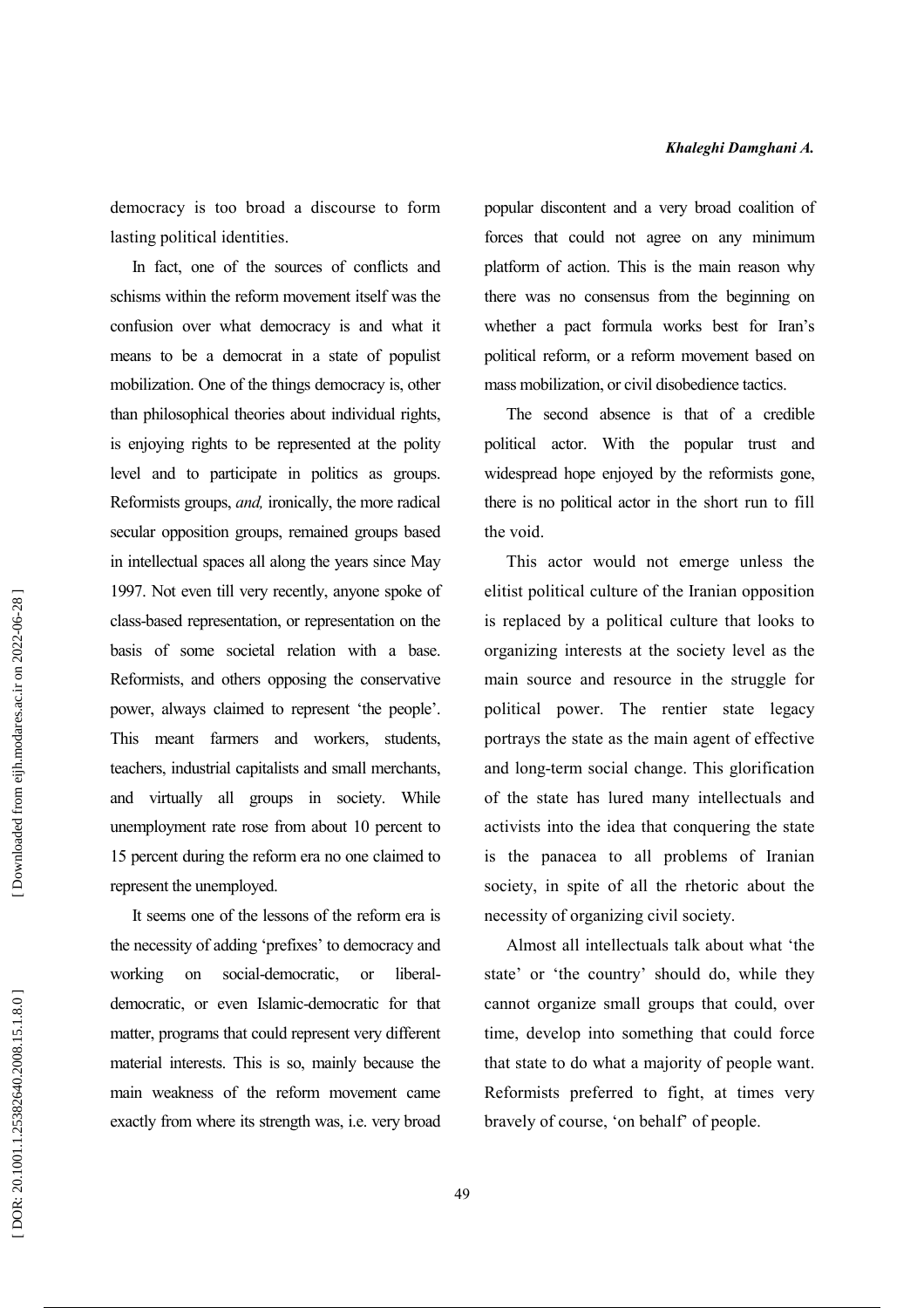democracy is too broad a discourse to form lasting political identities.

In fact, one of the sources of conflicts and schisms within the reform movement itself was the confusion over what democracy is and what it means to be a democrat in a state of populist mobilization. One of the things democracy is, other than philosophical theories about individual rights, is enjoying rights to be represented at the polity level and to participate in politics as groups. Reformists groups, *and*, ironically, the more radical secular opposition groups, remained groups based in intellectual spaces all along the years since May 1997. Not even till very recently, anyone spoke of class-based representation, or representation on the basis of some societal relation with a base. Reformists, and others opposing the conservative power, always claimed to represent 'the people'. This meant farmers and workers, students, teachers, industrial capitalists and small merchants, and virtually all groups in society. While unemployment rate rose from about 10 percent to 15 percent during the reform era no one claimed to represent the unemployed.

It seems one of the lessons of the reform era is the necessity of adding 'prefixes' to democracy and social-democratic. working on  $\alpha$ <sup>r</sup> liberaldemocratic, or even Islamic-democratic for that matter, programs that could represent very different material interests. This is so, mainly because the main weakness of the reform movement came exactly from where its strength was, i.e. very broad popular discontent and a very broad coalition of forces that could not agree on any minimum platform of action. This is the main reason why there was no consensus from the beginning on whether a pact formula works best for Iran's political reform, or a reform movement based on mass mobilization, or civil disobedience tactics.

The second absence is that of a credible political actor. With the popular trust and widespread hope enjoyed by the reformists gone, there is no political actor in the short run to fill the void.

This actor would not emerge unless the elitist political culture of the Iranian opposition is replaced by a political culture that looks to organizing interests at the society level as the main source and resource in the struggle for political power. The rentier state legacy portrays the state as the main agent of effective and long-term social change. This glorification of the state has lured many intellectuals and activists into the idea that conquering the state is the panacea to all problems of Iranian society, in spite of all the rhetoric about the necessity of organizing civil society.

Almost all intellectuals talk about what 'the state' or 'the country' should do, while they cannot organize small groups that could, over time, develop into something that could force that state to do what a majority of people want. Reformists preferred to fight, at times very bravely of course, 'on behalf' of people.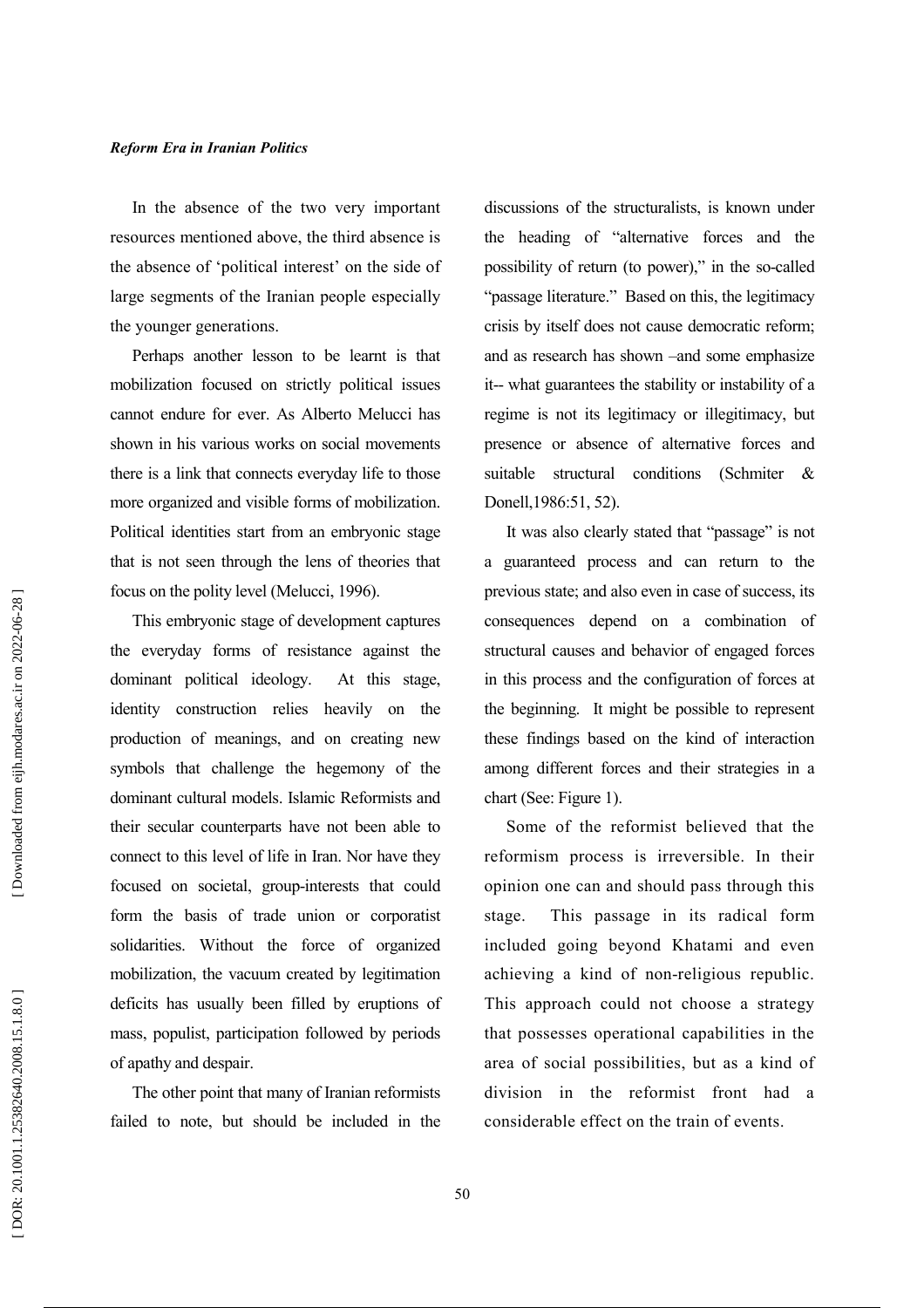In the absence of the two very important resources mentioned above, the third absence is the absence of 'political interest' on the side of large segments of the Iranian people especially the younger generations.

Perhaps another lesson to be learnt is that mobilization focused on strictly political issues cannot endure for ever. As Alberto Melucci has shown in his various works on social movements there is a link that connects everyday life to those more organized and visible forms of mobilization. Political identities start from an embryonic stage that is not seen through the lens of theories that focus on the polity level (Melucci, 1996).

This embryonic stage of development captures the everyday forms of resistance against the dominant political ideology. At this stage. identity construction relies heavily on the production of meanings, and on creating new symbols that challenge the hegemony of the dominant cultural models. Islamic Reformists and their secular counterparts have not been able to connect to this level of life in Iran. Nor have they focused on societal, group-interests that could form the basis of trade union or corporatist solidarities. Without the force of organized mobilization, the vacuum created by legitimation deficits has usually been filled by eruptions of mass, populist, participation followed by periods of apathy and despair.

The other point that many of Iranian reformists failed to note, but should be included in the discussions of the structuralists, is known under the heading of "alternative forces and the possibility of return (to power)," in the so-called "passage literature." Based on this, the legitimacy crisis by itself does not cause democratic reform; and as research has shown -and some emphasize it-- what guarantees the stability or instability of a regime is not its legitimacy or illegitimacy, but presence or absence of alternative forces and suitable structural conditions (Schmiter  $\mathcal{R}$ Donell, 1986:51, 52).

It was also clearly stated that "passage" is not a guaranteed process and can return to the previous state; and also even in case of success, its consequences depend on a combination of structural causes and behavior of engaged forces in this process and the configuration of forces at the beginning. It might be possible to represent these findings based on the kind of interaction among different forces and their strategies in a chart (See: Figure 1).

Some of the reformist believed that the reformism process is irreversible. In their opinion one can and should pass through this stage. This passage in its radical form included going beyond Khatami and even achieving a kind of non-religious republic. This approach could not choose a strategy that possesses operational capabilities in the area of social possibilities, but as a kind of division in the reformist front had a considerable effect on the train of events.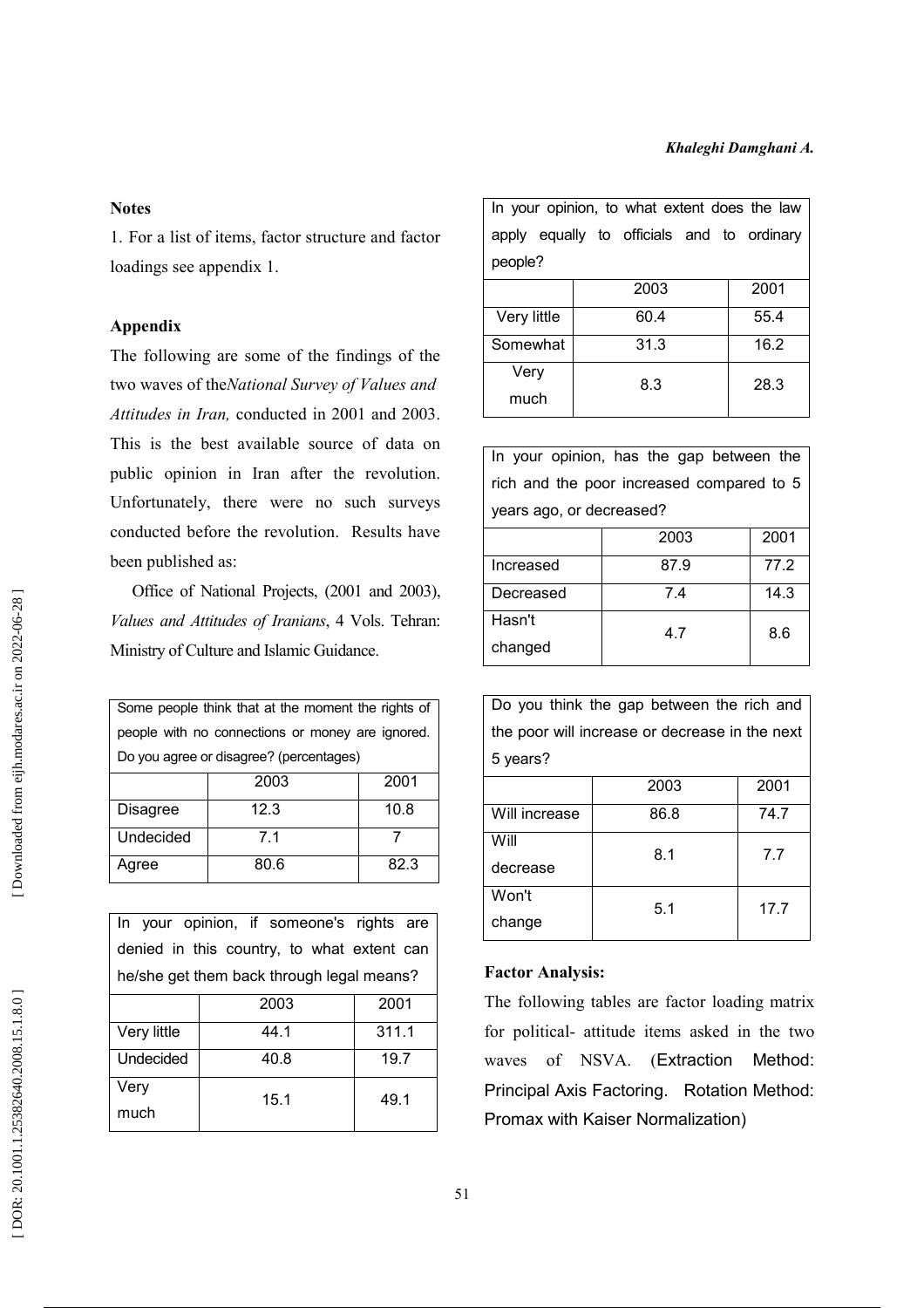#### **Notes**

1. For a list of items, factor structure and factor loadings see appendix 1.

#### Appendix

The following are some of the findings of the two waves of the National Survey of Values and Attitudes in Iran, conducted in 2001 and 2003. This is the best available source of data on public opinion in Iran after the revolution. Unfortunately, there were no such surveys conducted before the revolution. Results have been published as:

Office of National Projects, (2001 and 2003), Values and Attitudes of Iranians, 4 Vols. Tehran: Ministry of Culture and Islamic Guidance.

| Some people think that at the moment the rights of |                                                  |      |  |  |
|----------------------------------------------------|--------------------------------------------------|------|--|--|
|                                                    | people with no connections or money are ignored. |      |  |  |
| Do you agree or disagree? (percentages)            |                                                  |      |  |  |
|                                                    | 2003                                             | 2001 |  |  |
| Disagree                                           | 12.3                                             | 10.8 |  |  |
| Undecided                                          | 71                                               |      |  |  |
| Agree                                              | 80.6                                             | 82.3 |  |  |

|                                           | In your opinion, if someone's rights are   |       |  |
|-------------------------------------------|--------------------------------------------|-------|--|
|                                           | denied in this country, to what extent can |       |  |
| he/she get them back through legal means? |                                            |       |  |
|                                           | 2003                                       | 2001  |  |
| Very little                               | 44.1                                       | 311.1 |  |
| Undecided                                 | 40.8                                       | 19.7  |  |
| Very                                      | 15.1                                       | 49.1  |  |
| much                                      |                                            |       |  |

| In your opinion, to what extent does the law |                                            |      |  |  |
|----------------------------------------------|--------------------------------------------|------|--|--|
|                                              | apply equally to officials and to ordinary |      |  |  |
| people?                                      |                                            |      |  |  |
|                                              | 2003                                       | 2001 |  |  |
| Very little                                  | 60.4                                       | 55.4 |  |  |
| Somewhat                                     | 31.3                                       | 16.2 |  |  |
| Very<br>much                                 | 8.3                                        | 28.3 |  |  |

In your opinion, has the gap between the rich and the poor increased compared to 5 years ago, or decreased?

|           | 2003 | 2001 |
|-----------|------|------|
| Increased | 87.9 | 77.2 |
| Decreased | 74   | 14.3 |
| Hasn't    | 4.7  | 8.6  |
| changed   |      |      |

Do you think the gap between the rich and the poor will increase or decrease in the next 5 years?

|               | 2003 | 2001 |  |
|---------------|------|------|--|
| Will increase | 86.8 | 74.7 |  |
| Will          | 8.1  | 7.7  |  |
| decrease      |      |      |  |
| Won't         | 5.1  | 17.7 |  |
| change        |      |      |  |

## **Factor Analysis:**

The following tables are factor loading matrix for political- attitude items asked in the two waves of NSVA. (Extraction Method: Principal Axis Factoring. Rotation Method: Promax with Kaiser Normalization)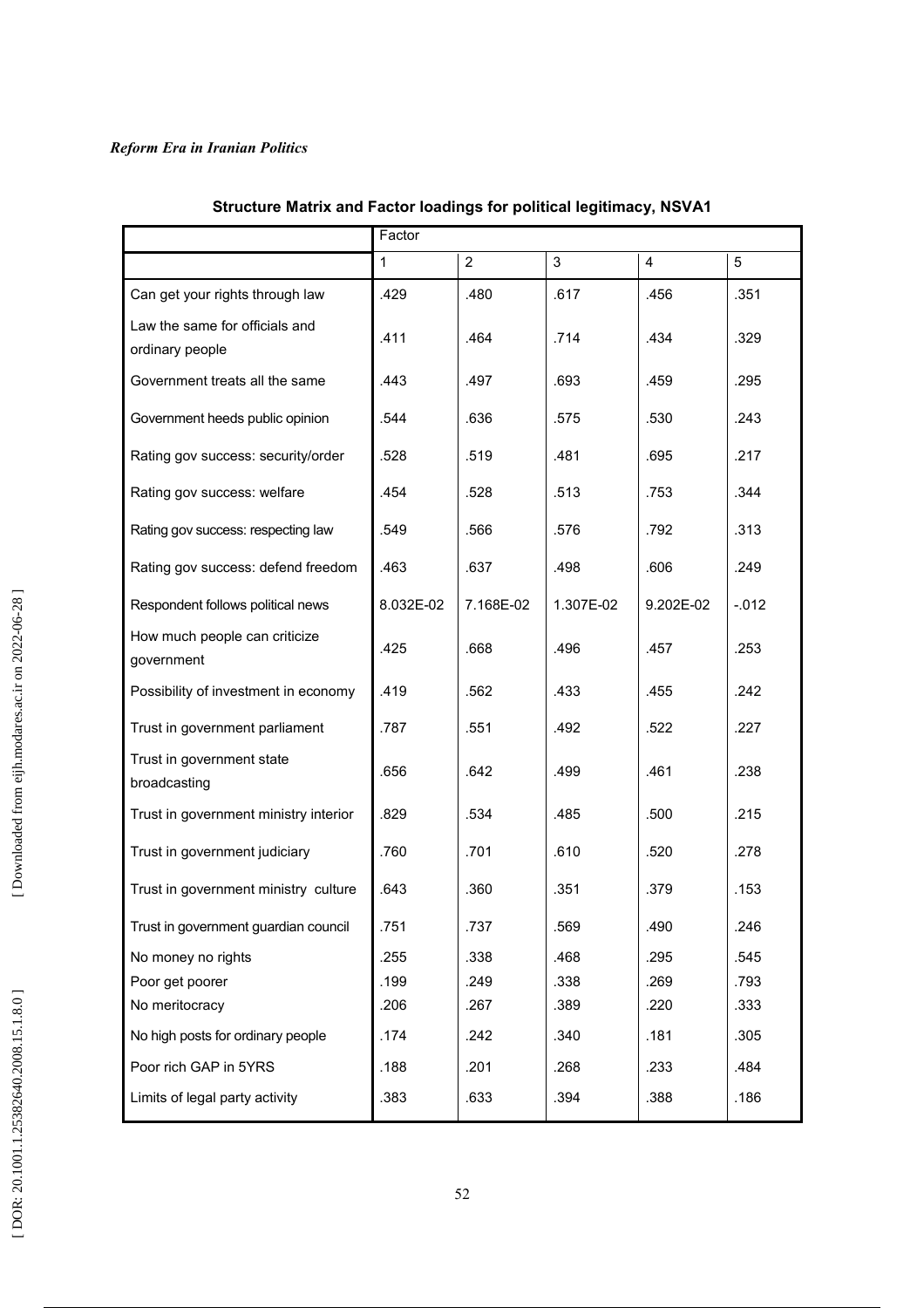|                                                   | Factor    |                |           |           |         |
|---------------------------------------------------|-----------|----------------|-----------|-----------|---------|
|                                                   | 1         | $\overline{2}$ | 3         | 4         | 5       |
| Can get your rights through law                   | .429      | .480           | .617      | .456      | .351    |
| Law the same for officials and<br>ordinary people | .411      | .464           | .714      | .434      | .329    |
| Government treats all the same                    | .443      | .497           | .693      | .459      | .295    |
| Government heeds public opinion                   | .544      | .636           | .575      | .530      | .243    |
| Rating gov success: security/order                | .528      | .519           | .481      | .695      | .217    |
| Rating gov success: welfare                       | .454      | .528           | .513      | .753      | .344    |
| Rating gov success: respecting law                | .549      | .566           | .576      | .792      | .313    |
| Rating gov success: defend freedom                | .463      | .637           | .498      | .606      | .249    |
| Respondent follows political news                 | 8.032E-02 | 7.168E-02      | 1.307E-02 | 9.202E-02 | $-.012$ |
| How much people can criticize<br>government       | .425      | .668           | .496      | .457      | .253    |
| Possibility of investment in economy              | .419      | .562           | .433      | .455      | .242    |
| Trust in government parliament                    | .787      | .551           | .492      | .522      | .227    |
| Trust in government state<br>broadcasting         | .656      | .642           | .499      | .461      | .238    |
| Trust in government ministry interior             | .829      | .534           | .485      | .500      | .215    |
| Trust in government judiciary                     | .760      | .701           | .610      | .520      | .278    |
| Trust in government ministry culture              | .643      | .360           | .351      | .379      | .153    |
| Trust in government guardian council              | .751      | .737           | .569      | .490      | .246    |
| No money no rights                                | .255      | .338           | .468      | .295      | .545    |
| Poor get poorer                                   | .199      | .249           | .338      | .269      | .793    |
| No meritocracy                                    | .206      | .267           | .389      | .220      | .333    |
| No high posts for ordinary people                 | .174      | .242           | .340      | .181      | .305    |
| Poor rich GAP in 5YRS                             | .188      | .201           | .268      | .233      | .484    |
| Limits of legal party activity                    | .383      | .633           | .394      | .388      | .186    |

# Structure Matrix and Factor loadings for political legitimacy, NSVA1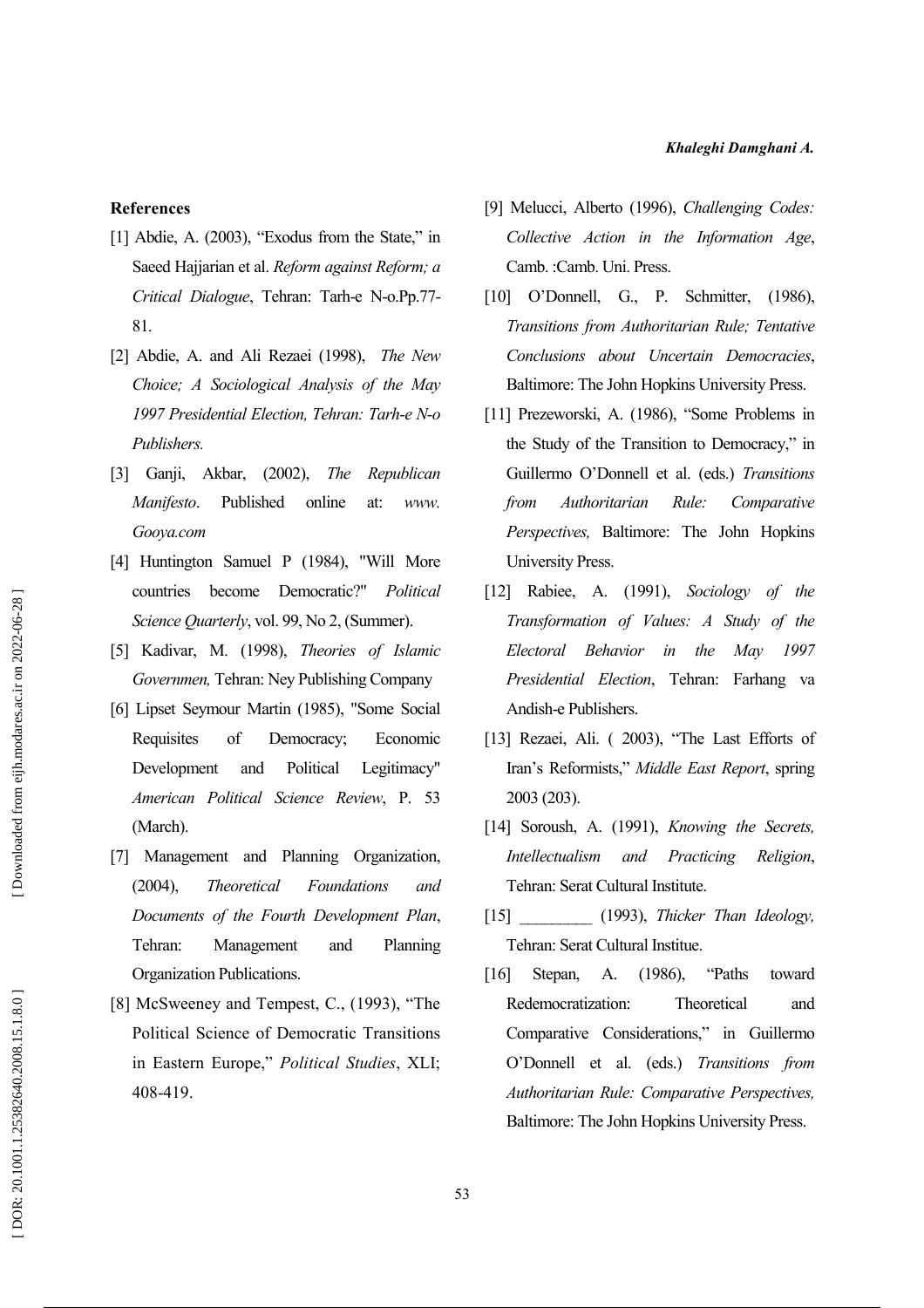**References** 

- [1] Abdie, A. (2003), "Exodus from the State," in Saeed Hajjarian et al. Reform against Reform; a Critical Dialogue, Tehran: Tarh-e N-o.Pp.77-81.
- [2] Abdie, A. and Ali Rezaei (1998), The New Choice: A Sociological Analysis of the May 1997 Presidential Election, Tehran: Tarh-e N-o Publishers.
- Akbar, (2002),  $[3]$  Ganji, *The* Republican Manifesto. Published online at: www. Gooya.com
- [4] Huntington Samuel P (1984), "Will More countries become Democratic?" Political Science Ouarterly, vol. 99, No 2, (Summer).
- [5] Kadivar, M. (1998), Theories of Islamic Governmen, Tehran: Ney Publishing Company
- [6] Lipset Seymour Martin (1985), "Some Social Requisites of Democracy; Economic Development and Political Legitimacy" American Political Science Review, P. 53 (March).
- [7] Management and Planning Organization,  $(2004),$ Foundations Theoretical and Documents of the Fourth Development Plan, Tehran: Management and Planning Organization Publications.
- [8] McSweeney and Tempest, C., (1993), "The Political Science of Democratic Transitions in Eastern Europe." Political Studies, XLI: 408-419.
- [9] Melucci, Alberto (1996), Challenging Codes: Collective Action in the Information Age, Camb. : Camb. Uni. Press.
- [10] O'Donnell, G., P. Schmitter, (1986), Transitions from Authoritarian Rule; Tentative Conclusions about Uncertain Democracies, Baltimore: The John Hopkins University Press.
- [11] Prezeworski, A. (1986), "Some Problems in the Study of the Transition to Democracy," in Guillermo O'Donnell et al. (eds.) Transitions from Authoritarian Rule: Comparative Perspectives, Baltimore: The John Hopkins **University Press.**
- [12] Rabiee, A. (1991), Sociology of the Transformation of Values: A Study of the Electoral Behavior in the May 1997 Presidential Election, Tehran: Farhang va Andish-e Publishers.
- [13] Rezaei, Ali. (2003), "The Last Efforts of Iran's Reformists," Middle East Report, spring 2003 (203).
- [14] Soroush, A. (1991), Knowing the Secrets, **Intellectualism** and Practicing Religion. Tehran: Serat Cultural Institute.
- [15] (1993), Thicker Than Ideology, Tehran: Serat Cultural Institue.
- "Paths  $[16]$ Stepan,  $A$ .  $(1986)$ , toward Redemocratization: Theoretical and Comparative Considerations," in Guillermo O'Donnell et al. (eds.) Transitions from Authoritarian Rule: Comparative Perspectives, Baltimore: The John Hopkins University Press.